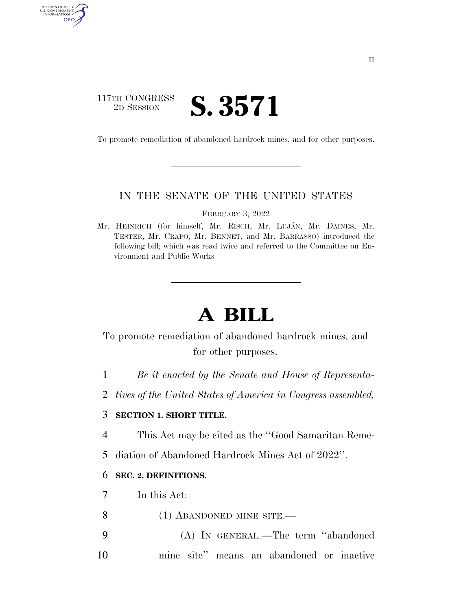### 117TH CONGRESS <sup>TH CONGRESS</sup> **S. 3571**

**AUTHENTICA** U.S. GOVERNMENT GPO

To promote remediation of abandoned hardrock mines, and for other purposes.

#### IN THE SENATE OF THE UNITED STATES

FEBRUARY 3, 2022

Mr. HEINRICH (for himself, Mr. RISCH, Mr. LUJA´N, Mr. DAINES, Mr. TESTER, Mr. CRAPO, Mr. BENNET, and Mr. BARRASSO) introduced the following bill; which was read twice and referred to the Committee on Environment and Public Works

# **A BILL**

To promote remediation of abandoned hardrock mines, and for other purposes.

1 *Be it enacted by the Senate and House of Representa-*

2 *tives of the United States of America in Congress assembled,* 

#### 3 **SECTION 1. SHORT TITLE.**

4 This Act may be cited as the ''Good Samaritan Reme-

5 diation of Abandoned Hardrock Mines Act of 2022''.

#### 6 **SEC. 2. DEFINITIONS.**

7 In this Act:

8 (1) ABANDONED MINE SITE.

9 (A) IN GENERAL.—The term ''abandoned 10 mine site'' means an abandoned or inactive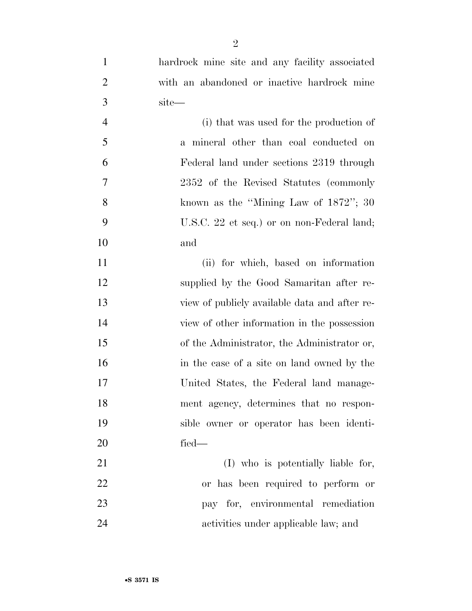| $\mathbf{1}$   | hardrock mine site and any facility associated |
|----------------|------------------------------------------------|
| $\overline{2}$ | with an abandoned or inactive hardrock mine    |
| 3              | site-                                          |
| $\overline{4}$ | (i) that was used for the production of        |
| 5              | a mineral other than coal conducted on         |
| 6              | Federal land under sections 2319 through       |
| 7              | 2352 of the Revised Statutes (commonly         |
| 8              | known as the "Mining Law of $1872$ "; 30       |
| 9              | U.S.C. 22 et seq.) or on non-Federal land;     |
| 10             | and                                            |
| 11             | (ii) for which, based on information           |
| 12             | supplied by the Good Samaritan after re-       |
| 13             | view of publicly available data and after re-  |
| 14             | view of other information in the possession    |
| 15             | of the Administrator, the Administrator or,    |
| 16             | in the case of a site on land owned by the     |
| 17             | United States, the Federal land manage-        |
| 18             | ment agency, determines that no respon-        |
| 19             | sible owner or operator has been identi-       |
| 20             | fied-                                          |
| 21             | (I) who is potentially liable for,             |
| 22             | or has been required to perform or             |
| 23             | pay for, environmental remediation             |
| 24             | activities under applicable law; and           |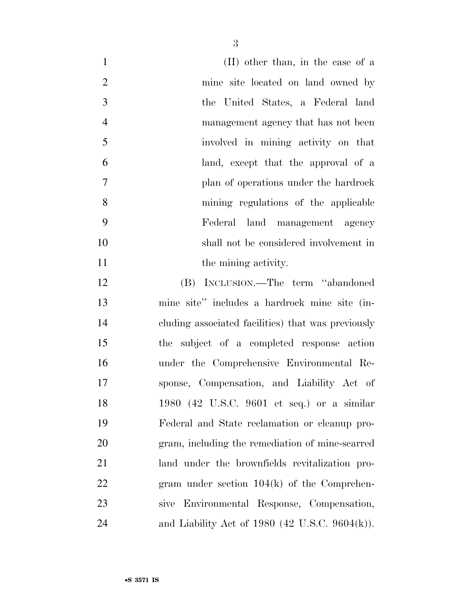| $\mathbf{1}$   | (II) other than, in the case of a                  |
|----------------|----------------------------------------------------|
| $\overline{2}$ | mine site located on land owned by                 |
| $\mathfrak{Z}$ | the United States, a Federal land                  |
| $\overline{4}$ | management agency that has not been                |
| 5              | involved in mining activity on that                |
| 6              | land, except that the approval of a                |
| $\tau$         | plan of operations under the hardrock              |
| 8              | mining regulations of the applicable               |
| 9              | Federal land management agency                     |
| 10             | shall not be considered involvement in             |
| 11             | the mining activity.                               |
| 12             | (B) INCLUSION.—The term "abandoned                 |
| 13             | mine site" includes a hardrock mine site (in-      |
| 14             | cluding associated facilities) that was previously |
| 15             | the subject of a completed response action         |
| 16             | under the Comprehensive Environmental Re-          |
| 17             | sponse, Compensation, and Liability Act of         |
| 18             | 1980 (42 U.S.C. 9601 et seq.) or a similar         |
| 19             | Federal and State reclamation or cleanup pro-      |
| 20             | gram, including the remediation of mine-scarred    |
| 21             | land under the brownfields revitalization pro-     |
| 22             | gram under section $104(k)$ of the Comprehen-      |
| 23             | sive Environmental Response, Compensation,         |
| 24             | and Liability Act of 1980 (42 U.S.C. 9604(k)).     |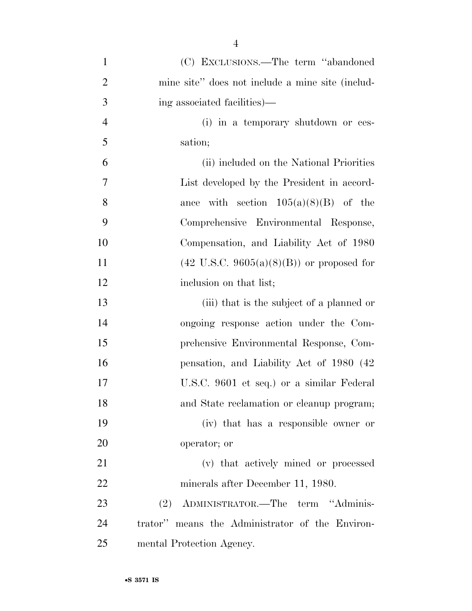| $\mathbf{1}$   | (C) EXCLUSIONS.—The term "abandoned"                 |
|----------------|------------------------------------------------------|
| $\overline{2}$ | mine site" does not include a mine site (includ-     |
| 3              | ing associated facilities)—                          |
| $\overline{4}$ | (i) in a temporary shutdown or ces-                  |
| 5              | sation;                                              |
| 6              | (ii) included on the National Priorities             |
| 7              | List developed by the President in accord-           |
| 8              | ance with section $105(a)(8)(B)$ of the              |
| 9              | Comprehensive Environmental Response,                |
| 10             | Compensation, and Liability Act of 1980              |
| 11             | $(42 \text{ U.S.C. } 9605(a)(8)(B))$ or proposed for |
| 12             | inclusion on that list;                              |
| 13             | (iii) that is the subject of a planned or            |
| 14             | ongoing response action under the Com-               |
| 15             | prehensive Environmental Response, Com-              |
| 16             | pensation, and Liability Act of 1980 (42)            |
| 17             | U.S.C. 9601 et seq.) or a similar Federal            |
| 18             | and State reclamation or cleanup program;            |
| 19             | (iv) that has a responsible owner or                 |
| 20             | operator; or                                         |
| 21             | (v) that actively mined or processed                 |
| 22             | minerals after December 11, 1980.                    |
| 23             | (2) ADMINISTRATOR.—The term "Adminis-                |
| 24             | trator" means the Administrator of the Environ-      |
| 25             | mental Protection Agency.                            |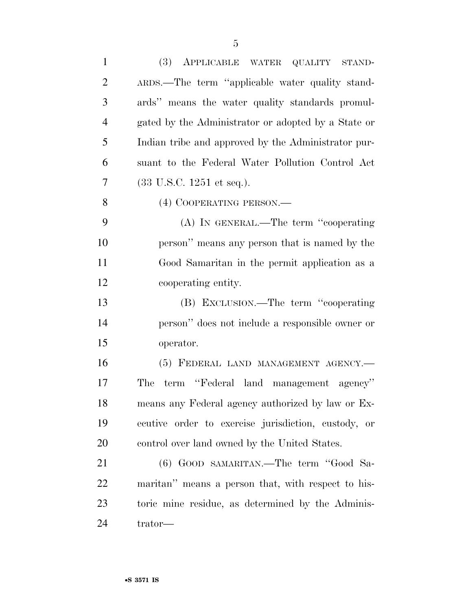| $\mathbf{1}$   | (3) APPLICABLE WATER QUALITY STAND-                 |
|----------------|-----------------------------------------------------|
| $\overline{2}$ | ARDS.—The term "applicable water quality stand-     |
| 3              | ards" means the water quality standards promul-     |
| $\overline{4}$ | gated by the Administrator or adopted by a State or |
| 5              | Indian tribe and approved by the Administrator pur- |
| 6              | suant to the Federal Water Pollution Control Act    |
| 7              | $(33 \text{ U.S.C. } 1251 \text{ et seq.}).$        |
| 8              | (4) COOPERATING PERSON.-                            |
| 9              | (A) IN GENERAL.—The term "cooperating               |
| 10             | person" means any person that is named by the       |
| 11             | Good Samaritan in the permit application as a       |
| 12             | cooperating entity.                                 |
| 13             | (B) EXCLUSION.—The term "cooperating                |
| 14             | person" does not include a responsible owner or     |
| 15             | operator.                                           |
| 16             | (5) FEDERAL LAND MANAGEMENT AGENCY.-                |
| 17             | term "Federal land management agency"<br>The        |
| 18             | means any Federal agency authorized by law or Ex-   |
| 19             | ecutive order to exercise jurisdiction, custody, or |
| 20             | control over land owned by the United States.       |
| 21             | (6) GOOD SAMARITAN.—The term "Good Sa-              |
| 22             | maritan" means a person that, with respect to his-  |
| 23             | toric mine residue, as determined by the Adminis-   |
| 24             | trator—                                             |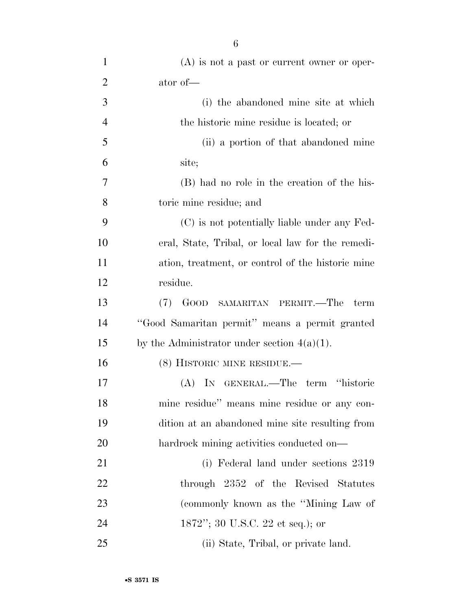| $\mathbf{1}$   | $(A)$ is not a past or current owner or oper-     |
|----------------|---------------------------------------------------|
| $\overline{2}$ | ator of—                                          |
| 3              | (i) the abandoned mine site at which              |
| $\overline{4}$ | the historic mine residue is located; or          |
| 5              | (ii) a portion of that abandoned mine             |
| 6              | site;                                             |
| $\tau$         | (B) had no role in the creation of the his-       |
| 8              | toric mine residue; and                           |
| 9              | (C) is not potentially liable under any Fed-      |
| 10             | eral, State, Tribal, or local law for the remedi- |
| 11             | ation, treatment, or control of the historic mine |
| 12             | residue.                                          |
| 13             | (7) GOOD SAMARITAN PERMIT.—The<br>term            |
| 14             | "Good Samaritan permit" means a permit granted    |
| 15             | by the Administrator under section $4(a)(1)$ .    |
| 16             | $(8)$ HISTORIC MINE RESIDUE.—                     |
| 17             | (A) IN GENERAL.—The term "historic                |
| 18             | mine residue" means mine residue or any con-      |
| 19             | dition at an abandoned mine site resulting from   |
| 20             | hardrock mining activities conducted on—          |
| 21             | (i) Federal land under sections 2319              |
| 22             | through 2352 of the Revised Statutes              |
| 23             | (commonly known as the "Mining Law of             |
| 24             | 1872"; 30 U.S.C. 22 et seq.); or                  |
| 25             | (ii) State, Tribal, or private land.              |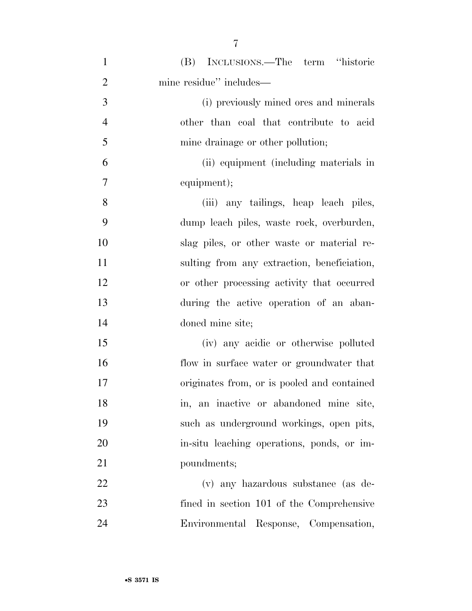| $\mathbf{1}$   | (B) INCLUSIONS.—The term "historic          |
|----------------|---------------------------------------------|
| $\overline{2}$ | mine residue" includes—                     |
| 3              | (i) previously mined ores and minerals      |
| $\overline{4}$ | other than coal that contribute to acid     |
| 5              | mine drainage or other pollution;           |
| 6              | (ii) equipment (including materials in      |
| 7              | equipment);                                 |
| 8              | (iii) any tailings, heap leach piles,       |
| 9              | dump leach piles, waste rock, overburden,   |
| 10             | slag piles, or other waste or material re-  |
| 11             | sulting from any extraction, beneficiation, |
| 12             | or other processing activity that occurred  |
| 13             | during the active operation of an aban-     |
| 14             | doned mine site;                            |
| 15             | (iv) any acidic or otherwise polluted       |
| 16             | flow in surface water or groundwater that   |
| 17             | originates from, or is pooled and contained |
| 18             | in, an inactive or abandoned mine site,     |
| 19             | such as underground workings, open pits,    |
| 20             | in-situ leaching operations, ponds, or im-  |
| 21             | poundments;                                 |
| 22             | (v) any hazardous substance (as de-         |
| 23             | fined in section 101 of the Comprehensive   |
| 24             | Environmental Response, Compensation,       |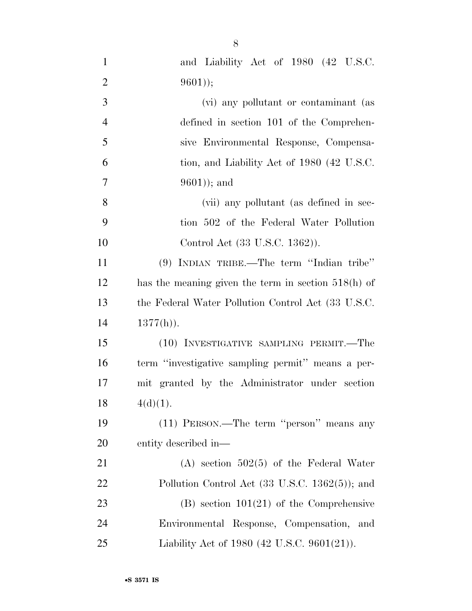| $\mathbf{1}$   | and Liability Act of 1980 (42 U.S.C.                       |
|----------------|------------------------------------------------------------|
| $\overline{2}$ | $9601$ );                                                  |
| 3              | (vi) any pollutant or contaminant (as                      |
| $\overline{4}$ | defined in section 101 of the Comprehen-                   |
| 5              | sive Environmental Response, Compensa-                     |
| 6              | tion, and Liability Act of 1980 (42 U.S.C.                 |
| 7              | $9601$ ); and                                              |
| 8              | (vii) any pollutant (as defined in sec-                    |
| 9              | tion 502 of the Federal Water Pollution                    |
| 10             | Control Act (33 U.S.C. 1362)).                             |
| 11             | (9) INDIAN TRIBE.—The term "Indian tribe"                  |
| 12             | has the meaning given the term in section $518(h)$ of      |
| 13             | the Federal Water Pollution Control Act (33 U.S.C.         |
| 14             | $1377(h)$ ).                                               |
| 15             | (10) INVESTIGATIVE SAMPLING PERMIT.—The                    |
| 16             | term "investigative sampling permit" means a per-          |
| 17             | mit granted by the Administrator under section             |
| 18             | $4(d)(1)$ .                                                |
| 19             | (11) PERSON.—The term "person" means any                   |
| 20             | entity described in—                                       |
| 21             | $(A)$ section 502(5) of the Federal Water                  |
| 22             | Pollution Control Act $(33 \text{ U.S.C. } 1362(5))$ ; and |
| 23             | $(B)$ section 101(21) of the Comprehensive                 |
| 24             | Environmental Response, Compensation, and                  |
| 25             | Liability Act of 1980 (42 U.S.C. 9601(21)).                |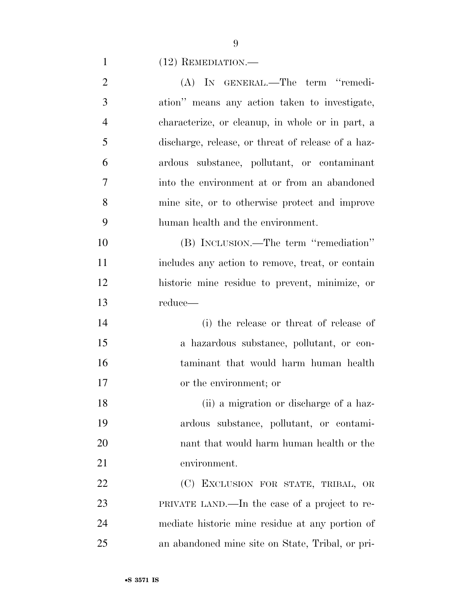(12) REMEDIATION.—

| $\overline{2}$ | (A) IN GENERAL.—The term "remedi-                  |
|----------------|----------------------------------------------------|
| 3              | ation" means any action taken to investigate,      |
| $\overline{4}$ | characterize, or cleanup, in whole or in part, a   |
| 5              | discharge, release, or threat of release of a haz- |
| 6              | ardous substance, pollutant, or contaminant        |
| $\overline{7}$ | into the environment at or from an abandoned       |
| 8              | mine site, or to otherwise protect and improve     |
| 9              | human health and the environment.                  |
| 10             | (B) INCLUSION.—The term "remediation"              |
| 11             | includes any action to remove, treat, or contain   |
| 12             | historic mine residue to prevent, minimize, or     |
| 13             | reduce—                                            |
| 14             | (i) the release or threat of release of            |
| 15             | a hazardous substance, pollutant, or con-          |
| 16             | taminant that would harm human health              |
| 17             | or the environment; or                             |
| 18             | (ii) a migration or discharge of a haz-            |
| 19             | ardous substance, pollutant, or contami-           |
| 20             | nant that would harm human health or the           |
| 21             | environment.                                       |
| 22             | (C) EXCLUSION FOR STATE, TRIBAL, OR                |
| 23             | PRIVATE LAND.—In the case of a project to re-      |
| 24             | mediate historic mine residue at any portion of    |
| 25             | an abandoned mine site on State, Tribal, or pri-   |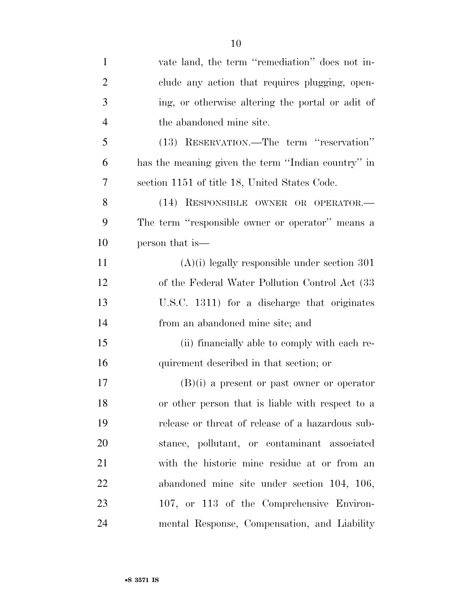| $\mathbf{1}$   | vate land, the term "remediation" does not in-     |
|----------------|----------------------------------------------------|
| $\overline{2}$ | clude any action that requires plugging, open-     |
| 3              | ing, or otherwise altering the portal or adit of   |
| $\overline{4}$ | the abandoned mine site.                           |
| 5              | (13) RESERVATION.—The term "reservation"           |
| 6              | has the meaning given the term "Indian country" in |
| 7              | section 1151 of title 18, United States Code.      |
| 8              | (14) RESPONSIBLE OWNER OR OPERATOR.-               |
| 9              | The term "responsible owner or operator" means a   |
| 10             | person that is—                                    |
| 11             | $(A)(i)$ legally responsible under section 301     |
| 12             | of the Federal Water Pollution Control Act (33)    |
| 13             | U.S.C. 1311) for a discharge that originates       |
| 14             | from an abandoned mine site; and                   |
| 15             | (ii) financially able to comply with each re-      |
| 16             | quirement described in that section; or            |
| 17             | $(B)(i)$ a present or past owner or operator       |
| 18             | or other person that is liable with respect to a   |
| 19             | release or threat of release of a hazardous sub-   |
| 20             | stance, pollutant, or contaminant associated       |
| 21             | with the historic mine residue at or from an       |
| 22             | abandoned mine site under section 104, 106,        |
| 23             | 107, or 113 of the Comprehensive Environ-          |
| 24             | mental Response, Compensation, and Liability       |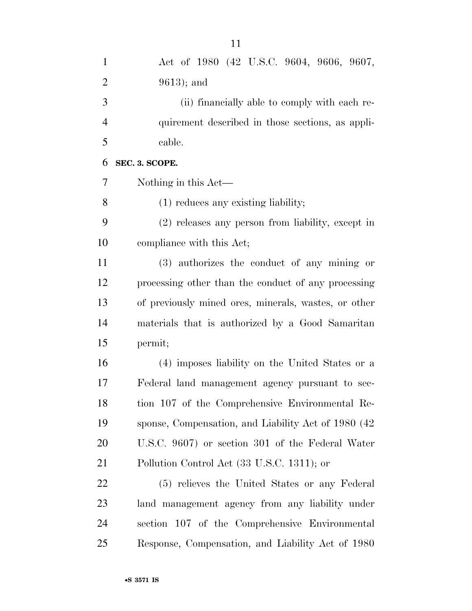| $\mathbf{1}$   | Act of 1980 (42 U.S.C. 9604, 9606, 9607,             |
|----------------|------------------------------------------------------|
| $\overline{2}$ | $9613$ ; and                                         |
| 3              | (ii) financially able to comply with each re-        |
| $\overline{4}$ | quirement described in those sections, as appli-     |
| 5              | cable.                                               |
| 6              | SEC. 3. SCOPE.                                       |
| 7              | Nothing in this Act—                                 |
| 8              | $(1)$ reduces any existing liability;                |
| 9              | (2) releases any person from liability, except in    |
| 10             | compliance with this Act;                            |
| 11             | (3) authorizes the conduct of any mining or          |
| 12             | processing other than the conduct of any processing  |
| 13             | of previously mined ores, minerals, wastes, or other |
| 14             | materials that is authorized by a Good Samaritan     |
| 15             | permit;                                              |
| 16             | (4) imposes liability on the United States or a      |
| 17             | Federal land management agency pursuant to sec-      |
| 18             | tion 107 of the Comprehensive Environmental Re-      |
| 19             | sponse, Compensation, and Liability Act of 1980 (42) |
| 20             | U.S.C. 9607) or section 301 of the Federal Water     |
| 21             | Pollution Control Act (33 U.S.C. 1311); or           |
| 22             | (5) relieves the United States or any Federal        |
| 23             | land management agency from any liability under      |
| 24             | section 107 of the Comprehensive Environmental       |
| 25             | Response, Compensation, and Liability Act of 1980    |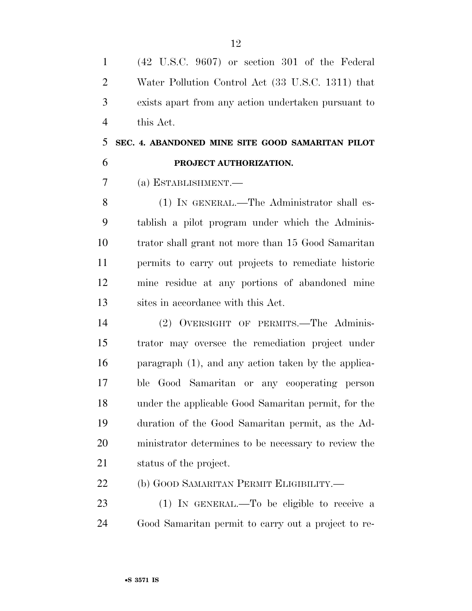| $\sim$         | $(42 \text{ U.S.C. } 9607)$ or section 301 of the Federal |
|----------------|-----------------------------------------------------------|
| 2              | Water Pollution Control Act (33 U.S.C. 1311) that         |
| $3 \quad$      | exists apart from any action undertaken pursuant to       |
| $\overline{4}$ | this Act.                                                 |

## **SEC. 4. ABANDONED MINE SITE GOOD SAMARITAN PILOT PROJECT AUTHORIZATION.**

(a) ESTABLISHMENT.—

 (1) IN GENERAL.—The Administrator shall es- tablish a pilot program under which the Adminis- trator shall grant not more than 15 Good Samaritan permits to carry out projects to remediate historic mine residue at any portions of abandoned mine sites in accordance with this Act.

 (2) OVERSIGHT OF PERMITS.—The Adminis- trator may oversee the remediation project under paragraph (1), and any action taken by the applica- ble Good Samaritan or any cooperating person under the applicable Good Samaritan permit, for the duration of the Good Samaritan permit, as the Ad- ministrator determines to be necessary to review the status of the project.

22 (b) GOOD SAMARITAN PERMIT ELIGIBILITY.—

 (1) IN GENERAL.—To be eligible to receive a Good Samaritan permit to carry out a project to re-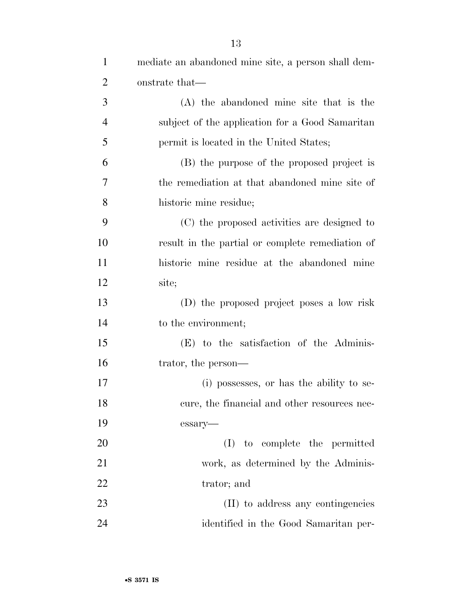| $\mathbf{1}$   | mediate an abandoned mine site, a person shall dem- |
|----------------|-----------------------------------------------------|
| $\overline{2}$ | onstrate that—                                      |
| 3              | (A) the abandoned mine site that is the             |
| $\overline{4}$ | subject of the application for a Good Samaritan     |
| 5              | permit is located in the United States;             |
| 6              | (B) the purpose of the proposed project is          |
| 7              | the remediation at that abandoned mine site of      |
| 8              | historic mine residue;                              |
| 9              | (C) the proposed activities are designed to         |
| 10             | result in the partial or complete remediation of    |
| 11             | historic mine residue at the abandoned mine         |
| 12             | site;                                               |
| 13             | (D) the proposed project poses a low risk           |
| 14             | to the environment;                                 |
| 15             | (E) to the satisfaction of the Adminis-             |
| 16             | trator, the person—                                 |
| 17             | (i) possesses, or has the ability to se-            |
| 18             | cure, the financial and other resources nec-        |
| 19             | essary-                                             |
| 20             | to complete the permitted<br>(I)                    |
| 21             | work, as determined by the Adminis-                 |
| 22             | trator; and                                         |
| 23             | (II) to address any contingencies                   |
| 24             | identified in the Good Samaritan per-               |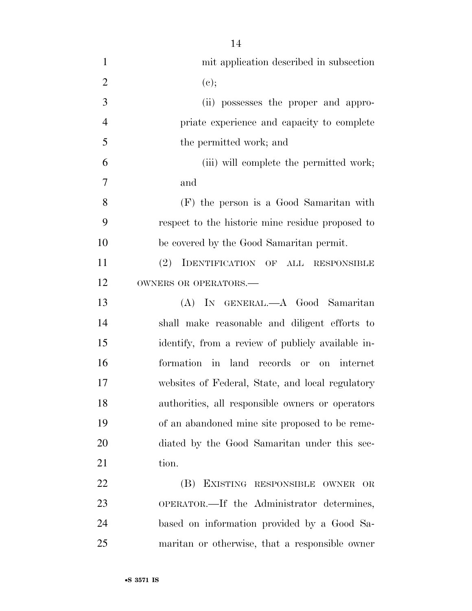| $\mathbf{1}$   | mit application described in subsection           |
|----------------|---------------------------------------------------|
| $\overline{2}$ | (e);                                              |
| 3              | (ii) possesses the proper and appro-              |
| $\overline{4}$ | priate experience and capacity to complete        |
| 5              | the permitted work; and                           |
| 6              | (iii) will complete the permitted work;           |
| 7              | and                                               |
| 8              | (F) the person is a Good Samaritan with           |
| 9              | respect to the historic mine residue proposed to  |
| 10             | be covered by the Good Samaritan permit.          |
| 11             | (2) IDENTIFICATION OF ALL RESPONSIBLE             |
| 12             | OWNERS OR OPERATORS.-                             |
| 13             | (A) IN GENERAL.—A Good Samaritan                  |
| 14             | shall make reasonable and diligent efforts to     |
| 15             | identify, from a review of publicly available in- |
| 16             | formation in land records or on internet          |
| 17             | websites of Federal, State, and local regulatory  |
| 18             | authorities, all responsible owners or operators  |
| 19             | of an abandoned mine site proposed to be reme-    |
| 20             | diated by the Good Samaritan under this sec-      |
| 21             | tion.                                             |
| 22             | (B) EXISTING RESPONSIBLE<br>OWNER<br>OR           |
| 23             | OPERATOR.—If the Administrator determines,        |
| 24             | based on information provided by a Good Sa-       |
| 25             | maritan or otherwise, that a responsible owner    |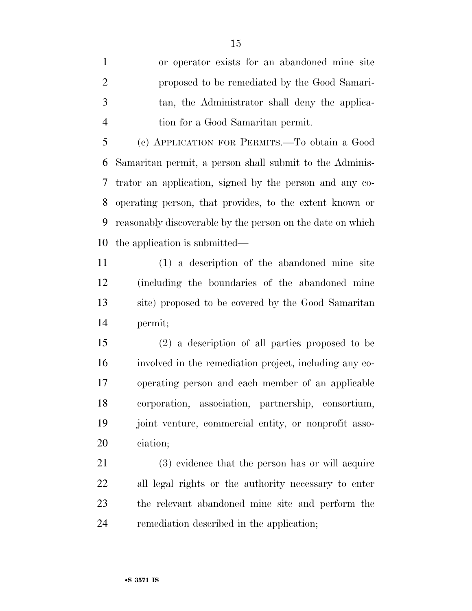or operator exists for an abandoned mine site proposed to be remediated by the Good Samari- tan, the Administrator shall deny the applica-tion for a Good Samaritan permit.

 (c) APPLICATION FOR PERMITS.—To obtain a Good Samaritan permit, a person shall submit to the Adminis- trator an application, signed by the person and any co- operating person, that provides, to the extent known or reasonably discoverable by the person on the date on which the application is submitted—

 (1) a description of the abandoned mine site (including the boundaries of the abandoned mine site) proposed to be covered by the Good Samaritan permit;

 (2) a description of all parties proposed to be involved in the remediation project, including any co- operating person and each member of an applicable corporation, association, partnership, consortium, joint venture, commercial entity, or nonprofit asso-ciation;

 (3) evidence that the person has or will acquire all legal rights or the authority necessary to enter the relevant abandoned mine site and perform the remediation described in the application;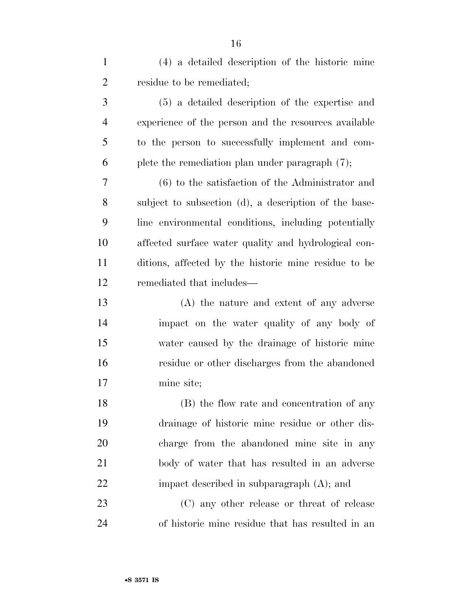| $\mathbf{1}$   | (4) a detailed description of the historic mine       |
|----------------|-------------------------------------------------------|
| $\overline{2}$ | residue to be remediated;                             |
| 3              | (5) a detailed description of the expertise and       |
| $\overline{4}$ | experience of the person and the resources available  |
| 5              | to the person to successfully implement and com-      |
| 6              | plete the remediation plan under paragraph (7);       |
| 7              | $(6)$ to the satisfaction of the Administrator and    |
| 8              | subject to subsection (d), a description of the base- |
| 9              | line environmental conditions, including potentially  |
| 10             | affected surface water quality and hydrological con-  |
| 11             | ditions, affected by the historic mine residue to be  |
| 12             | remediated that includes—                             |
| 13             | (A) the nature and extent of any adverse              |
| 14             | impact on the water quality of any body of            |
| 15             | water caused by the drainage of historic mine         |
| 16             | residue or other discharges from the abandoned        |
| 17             | mine site;                                            |
| 18             | (B) the flow rate and concentration of any            |
| 19             | drainage of historic mine residue or other dis-       |
| 20             | charge from the abandoned mine site in any            |
| 21             | body of water that has resulted in an adverse         |
| 22             | impact described in subparagraph $(A)$ ; and          |
| 23             | (C) any other release or threat of release            |
| 24             | of historic mine residue that has resulted in an      |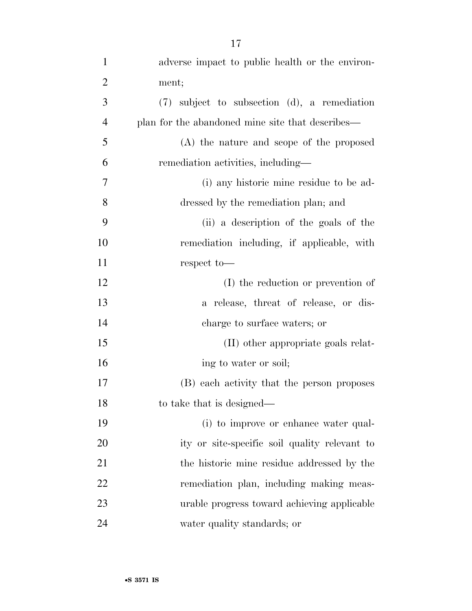| $\mathbf{1}$   | adverse impact to public health or the environ-   |
|----------------|---------------------------------------------------|
| $\overline{2}$ | ment;                                             |
|                |                                                   |
| 3              | $(7)$ subject to subsection $(d)$ , a remediation |
| $\overline{4}$ | plan for the abandoned mine site that describes—  |
| 5              | (A) the nature and scope of the proposed          |
| 6              | remediation activities, including—                |
| 7              | (i) any historic mine residue to be ad-           |
| 8              | dressed by the remediation plan; and              |
| 9              | (ii) a description of the goals of the            |
| 10             | remediation including, if applicable, with        |
| 11             | respect to-                                       |
| 12             | (I) the reduction or prevention of                |
| 13             | a release, threat of release, or dis-             |
| 14             | charge to surface waters; or                      |
| 15             | (II) other appropriate goals relat-               |
| 16             | ing to water or soil;                             |
| 17             | (B) each activity that the person proposes        |
| 18             | to take that is designed—                         |
| 19             | (i) to improve or enhance water qual-             |
| 20             | ity or site-specific soil quality relevant to     |
| 21             | the historic mine residue addressed by the        |
| 22             | remediation plan, including making meas-          |
| 23             | urable progress toward achieving applicable       |
| 24             | water quality standards; or                       |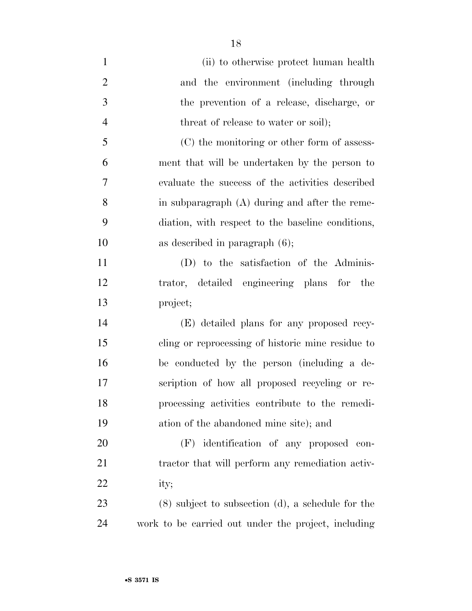(ii) to otherwise protect human health and the environment (including through the prevention of a release, discharge, or 4 threat of release to water or soil); (C) the monitoring or other form of assess- ment that will be undertaken by the person to evaluate the success of the activities described in subparagraph (A) during and after the reme- diation, with respect to the baseline conditions, as described in paragraph (6); (D) to the satisfaction of the Adminis- trator, detailed engineering plans for the project; (E) detailed plans for any proposed recy- cling or reprocessing of historic mine residue to be conducted by the person (including a de- scription of how all proposed recycling or re- processing activities contribute to the remedi- ation of the abandoned mine site); and (F) identification of any proposed con-21 tractor that will perform any remediation activ- ity; (8) subject to subsection (d), a schedule for the work to be carried out under the project, including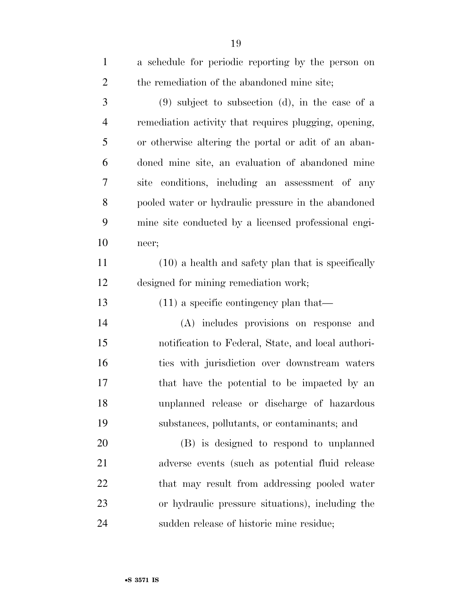| $\mathbf{1}$   | a schedule for periodic reporting by the person on    |
|----------------|-------------------------------------------------------|
| $\overline{2}$ | the remediation of the abandoned mine site;           |
| 3              | $(9)$ subject to subsection (d), in the case of a     |
| $\overline{4}$ | remediation activity that requires plugging, opening, |
| 5              | or otherwise altering the portal or adit of an aban-  |
| 6              | doned mine site, an evaluation of abandoned mine      |
| 7              | site conditions, including an assessment of any       |
| 8              | pooled water or hydraulic pressure in the abandoned   |
| 9              | mine site conducted by a licensed professional engi-  |
| 10             | neer;                                                 |
| 11             | $(10)$ a health and safety plan that is specifically  |
| 12             | designed for mining remediation work;                 |
| 13             | $(11)$ a specific contingency plan that—              |
| 14             | (A) includes provisions on response and               |
| 15             | notification to Federal, State, and local authori-    |
| 16             | ties with jurisdiction over downstream waters         |
| 17             | that have the potential to be impacted by an          |
| 18             | unplanned release or discharge of hazardous           |
| 19             | substances, pollutants, or contaminants; and          |
| 20             | (B) is designed to respond to unplanned               |
| 21             | adverse events (such as potential fluid release       |
| 22             | that may result from addressing pooled water          |
| 23             | or hydraulic pressure situations), including the      |
| 24             | sudden release of historic mine residue;              |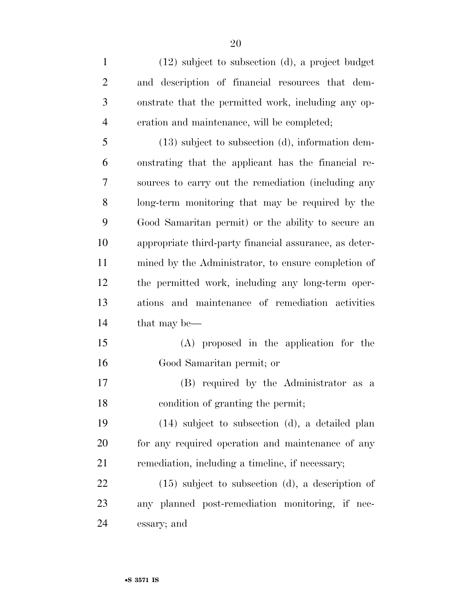(12) subject to subsection (d), a project budget and description of financial resources that dem- onstrate that the permitted work, including any op- eration and maintenance, will be completed; (13) subject to subsection (d), information dem- onstrating that the applicant has the financial re- sources to carry out the remediation (including any long-term monitoring that may be required by the Good Samaritan permit) or the ability to secure an appropriate third-party financial assurance, as deter- mined by the Administrator, to ensure completion of the permitted work, including any long-term oper- ations and maintenance of remediation activities that may be— (A) proposed in the application for the Good Samaritan permit; or (B) required by the Administrator as a condition of granting the permit; (14) subject to subsection (d), a detailed plan 20 for any required operation and maintenance of any remediation, including a timeline, if necessary; (15) subject to subsection (d), a description of any planned post-remediation monitoring, if nec-essary; and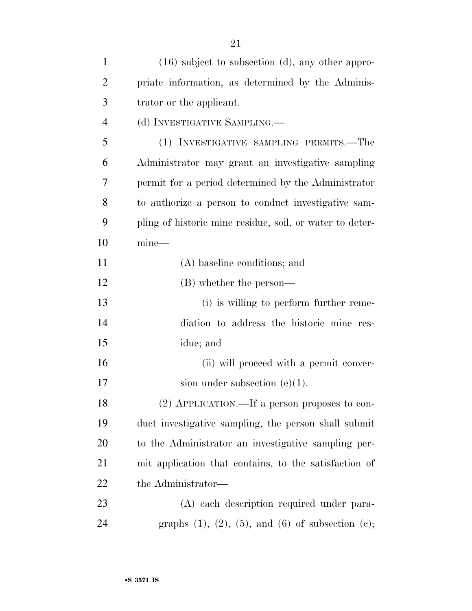| $\mathbf{1}$   | $(16)$ subject to subsection (d), any other appro-             |
|----------------|----------------------------------------------------------------|
| $\overline{2}$ | priate information, as determined by the Adminis-              |
| 3              | trator or the applicant.                                       |
| $\overline{4}$ | (d) INVESTIGATIVE SAMPLING.—                                   |
| 5              | (1) INVESTIGATIVE SAMPLING PERMITS.—The                        |
| 6              | Administrator may grant an investigative sampling              |
| 7              | permit for a period determined by the Administrator            |
| 8              | to authorize a person to conduct investigative sam-            |
| 9              | pling of historic mine residue, soil, or water to deter-       |
| 10             | $mine$ —                                                       |
| 11             | (A) baseline conditions; and                                   |
| 12             | (B) whether the person—                                        |
| 13             | (i) is willing to perform further reme-                        |
| 14             | diation to address the historic mine res-                      |
| 15             | idue; and                                                      |
| 16             | (ii) will proceed with a permit conver-                        |
| 17             | sion under subsection $(e)(1)$ .                               |
| 18             | (2) APPLICATION.—If a person proposes to con-                  |
| 19             | duct investigative sampling, the person shall submit           |
| 20             | to the Administrator an investigative sampling per-            |
| 21             | mit application that contains, to the satisfaction of          |
| 22             | the Administrator—                                             |
| 23             | (A) each description required under para-                      |
| 24             | graphs $(1)$ , $(2)$ , $(5)$ , and $(6)$ of subsection $(c)$ ; |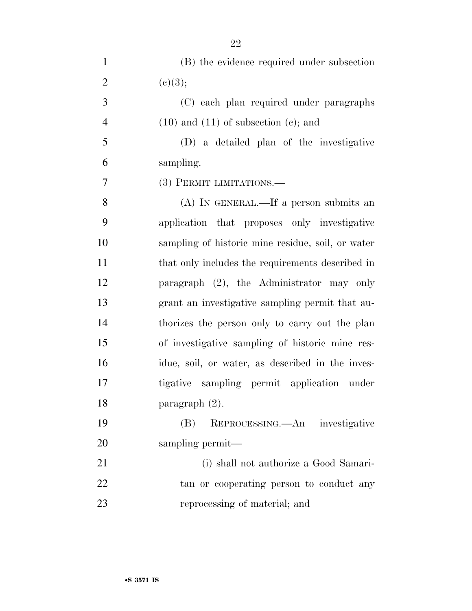| $\mathbf{1}$   | (B) the evidence required under subsection        |
|----------------|---------------------------------------------------|
| $\overline{2}$ | (e)(3);                                           |
| 3              | (C) each plan required under paragraphs           |
| $\overline{4}$ | $(10)$ and $(11)$ of subsection $(e)$ ; and       |
| 5              | (D) a detailed plan of the investigative          |
| 6              | sampling.                                         |
| 7              | (3) PERMIT LIMITATIONS.—                          |
| 8              | $(A)$ In GENERAL.—If a person submits an          |
| 9              | application that proposes only investigative      |
| 10             | sampling of historic mine residue, soil, or water |
| 11             | that only includes the requirements described in  |
| 12             | paragraph $(2)$ , the Administrator may only      |
| 13             | grant an investigative sampling permit that au-   |
| 14             | thorizes the person only to carry out the plan    |
| 15             | of investigative sampling of historic mine res-   |
| 16             | idue, soil, or water, as described in the inves-  |
| 17             | tigative sampling permit application under        |
| 18             | paragraph $(2)$ .                                 |
| 19             | REPROCESSING.—An investigative<br>(B)             |
| 20             | sampling permit—                                  |
| 21             | (i) shall not authorize a Good Samari-            |
| 22             | tan or cooperating person to conduct any          |
| 23             | reprocessing of material; and                     |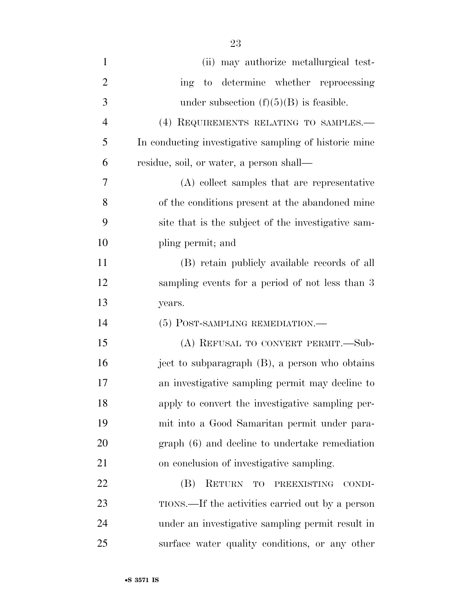| $\mathbf{1}$   |                                                       |
|----------------|-------------------------------------------------------|
|                | (ii) may authorize metallurgical test-                |
| $\overline{2}$ | to determine whether reprocessing<br>ing              |
| 3              | under subsection $(f)(5)(B)$ is feasible.             |
| $\overline{4}$ | (4) REQUIREMENTS RELATING TO SAMPLES.-                |
| 5              | In conducting investigative sampling of historic mine |
| 6              | residue, soil, or water, a person shall—              |
| 7              | (A) collect samples that are representative           |
| 8              | of the conditions present at the abandoned mine       |
| 9              | site that is the subject of the investigative sam-    |
| 10             | pling permit; and                                     |
| 11             | (B) retain publicly available records of all          |
| 12             | sampling events for a period of not less than 3       |
| 13             | years.                                                |
|                |                                                       |
| 14             | (5) POST-SAMPLING REMEDIATION.—                       |
| 15             | (A) REFUSAL TO CONVERT PERMIT.—Sub-                   |
| 16             | ject to subparagraph (B), a person who obtains        |
| 17             | an investigative sampling permit may decline to       |
| 18             | apply to convert the investigative sampling per-      |
| 19             | mit into a Good Samaritan permit under para-          |
| 20             | graph (6) and decline to undertake remediation        |
| 21             | on conclusion of investigative sampling.              |
| 22             | RETURN TO<br>(B)<br>PREEXISTING<br>CONDI-             |
| 23             | TIONS.—If the activities carried out by a person      |

surface water quality conditions, or any other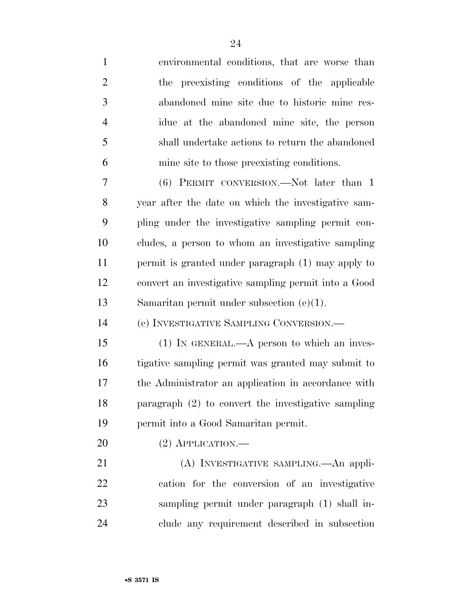| $\mathbf{1}$   | environmental conditions, that are worse than        |
|----------------|------------------------------------------------------|
| $\overline{2}$ | preexisting conditions of the applicable<br>the      |
| 3              | abandoned mine site due to historic mine res-        |
| $\overline{4}$ | idue at the abandoned mine site, the person          |
| 5              | shall undertake actions to return the abandoned      |
| 6              | mine site to those preexisting conditions.           |
| 7              | (6) PERMIT CONVERSION.—Not later than 1              |
| 8              | year after the date on which the investigative sam-  |
| 9              | pling under the investigative sampling permit con-   |
| 10             | cludes, a person to whom an investigative sampling   |
| 11             | permit is granted under paragraph (1) may apply to   |
| 12             | convert an investigative sampling permit into a Good |
| 13             | Samaritan permit under subsection $(e)(1)$ .         |
| 14             | (e) INVESTIGATIVE SAMPLING CONVERSION.—              |
| 15             | $(1)$ IN GENERAL.—A person to which an inves-        |
| 16             | tigative sampling permit was granted may submit to   |
| 17             | the Administrator an application in accordance with  |
| 18             | paragraph (2) to convert the investigative sampling  |
| 19             | permit into a Good Samaritan permit.                 |
|                |                                                      |
| 20             | $(2)$ APPLICATION.—                                  |
| 21             | (A) INVESTIGATIVE SAMPLING.—An appli-                |
| 22             | cation for the conversion of an investigative        |
| 23             | sampling permit under paragraph (1) shall in-        |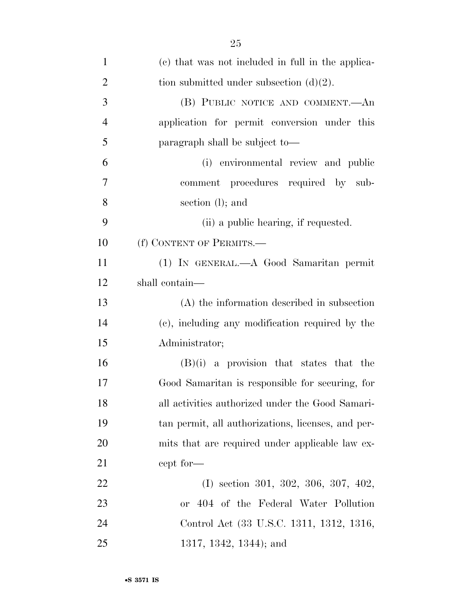| $\mathbf{1}$   | (c) that was not included in full in the applica-  |
|----------------|----------------------------------------------------|
| $\overline{2}$ | tion submitted under subsection $(d)(2)$ .         |
| 3              | (B) PUBLIC NOTICE AND COMMENT.—An                  |
| $\overline{4}$ | application for permit conversion under this       |
| 5              | paragraph shall be subject to—                     |
| 6              | (i) environmental review and public                |
| 7              | comment procedures required by sub-                |
| 8              | section (l); and                                   |
| 9              | (ii) a public hearing, if requested.               |
| 10             | (f) CONTENT OF PERMITS.-                           |
| 11             | (1) IN GENERAL.—A Good Samaritan permit            |
| 12             | shall contain—                                     |
| 13             | $(A)$ the information described in subsection      |
| 14             | (c), including any modification required by the    |
| 15             | Administrator;                                     |
| 16             | $(B)(i)$ a provision that states that the          |
| 17             | Good Samaritan is responsible for securing, for    |
| 18             | all activities authorized under the Good Samari-   |
| 19             | tan permit, all authorizations, licenses, and per- |
| 20             | mits that are required under applicable law ex-    |
| 21             | cept for—                                          |
| 22             | $(I)$ section 301, 302, 306, 307, 402,             |
| 23             | or 404 of the Federal Water Pollution              |
| 24             | Control Act (33 U.S.C. 1311, 1312, 1316,           |
| 25             | $1317, 1342, 1344$ ; and                           |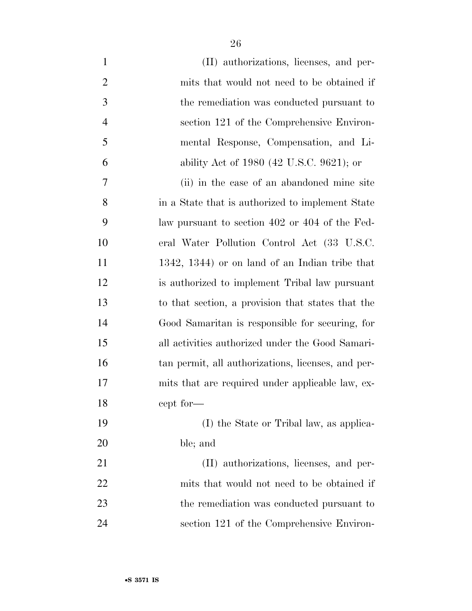| $\mathbf{1}$   | (II) authorizations, licenses, and per-            |
|----------------|----------------------------------------------------|
| $\overline{2}$ | mits that would not need to be obtained if         |
| 3              | the remediation was conducted pursuant to          |
| $\overline{4}$ | section 121 of the Comprehensive Environ-          |
| 5              | mental Response, Compensation, and Li-             |
| 6              | ability Act of 1980 (42 U.S.C. 9621); or           |
| 7              | (ii) in the case of an abandoned mine site         |
| 8              | in a State that is authorized to implement State   |
| 9              | law pursuant to section 402 or 404 of the Fed-     |
| 10             | eral Water Pollution Control Act (33 U.S.C.        |
| 11             | 1342, 1344) or on land of an Indian tribe that     |
| 12             | is authorized to implement Tribal law pursuant     |
| 13             | to that section, a provision that states that the  |
| 14             | Good Samaritan is responsible for securing, for    |
| 15             | all activities authorized under the Good Samari-   |
| 16             | tan permit, all authorizations, licenses, and per- |
| 17             | mits that are required under applicable law, ex-   |
| 18             | cept for-                                          |
| 19             | (I) the State or Tribal law, as applica-           |
| 20             | ble; and                                           |
| 21             | (II) authorizations, licenses, and per-            |
| 22             | mits that would not need to be obtained if         |
| 23             | the remediation was conducted pursuant to          |
| 24             | section 121 of the Comprehensive Environ-          |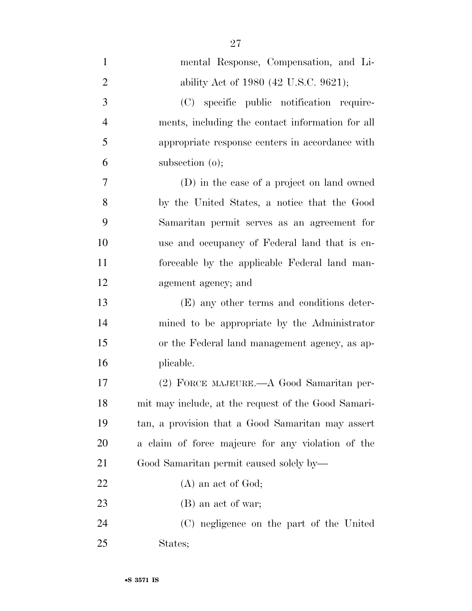| $\mathbf{1}$   | mental Response, Compensation, and Li-              |
|----------------|-----------------------------------------------------|
| $\overline{2}$ | ability Act of 1980 (42 U.S.C. 9621);               |
| 3              | (C) specific public notification require-           |
| $\overline{4}$ | ments, including the contact information for all    |
| 5              | appropriate response centers in accordance with     |
| 6              | subsection $(o)$ ;                                  |
| 7              | (D) in the case of a project on land owned          |
| 8              | by the United States, a notice that the Good        |
| 9              | Samaritan permit serves as an agreement for         |
| 10             | use and occupancy of Federal land that is en-       |
| 11             | forceable by the applicable Federal land man-       |
| 12             | agement agency; and                                 |
| 13             | (E) any other terms and conditions deter-           |
| 14             | mined to be appropriate by the Administrator        |
| 15             | or the Federal land management agency, as ap-       |
| 16             | plicable.                                           |
| 17             | (2) FORCE MAJEURE.—A Good Samaritan per-            |
| 18             | mit may include, at the request of the Good Samari- |
| 19             | tan, a provision that a Good Samaritan may assert   |
| <b>20</b>      | a claim of force majeure for any violation of the   |
| 21             | Good Samaritan permit caused solely by—             |
| 22             | $(A)$ an act of God;                                |
| 23             | (B) an act of war;                                  |
| 24             | (C) negligence on the part of the United            |
| 25             | States;                                             |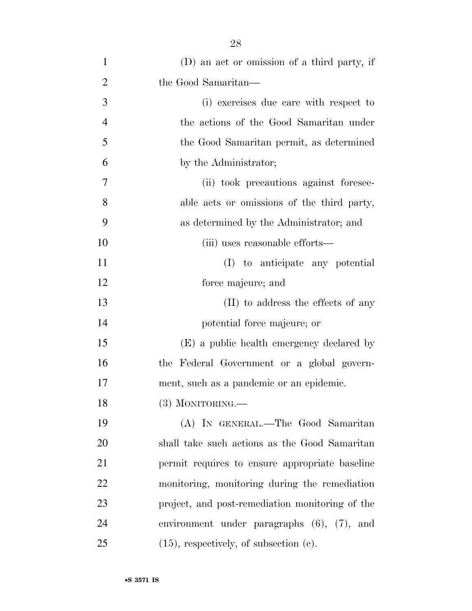| $\mathbf{1}$   | (D) an act or omission of a third party, if      |
|----------------|--------------------------------------------------|
| $\overline{2}$ | the Good Samaritan—                              |
| 3              | (i) exercises due care with respect to           |
| $\overline{4}$ | the actions of the Good Samaritan under          |
| 5              | the Good Samaritan permit, as determined         |
| 6              | by the Administrator;                            |
| 7              | (ii) took precautions against foresee-           |
| 8              | able acts or omissions of the third party,       |
| 9              | as determined by the Administrator; and          |
| 10             | (iii) uses reasonable efforts—                   |
| 11             | (I) to anticipate any potential                  |
| 12             | force majeure; and                               |
| 13             | (II) to address the effects of any               |
| 14             | potential force majeure; or                      |
| 15             | (E) a public health emergency declared by        |
| 16             | the Federal Government or a global govern-       |
| 17             | ment, such as a pandemic or an epidemic.         |
| 18             | $(3)$ MONITORING.                                |
| 19             | (A) IN GENERAL.—The Good Samaritan               |
| 20             | shall take such actions as the Good Samaritan    |
| 21             | permit requires to ensure appropriate baseline   |
| 22             | monitoring, monitoring during the remediation    |
| 23             | project, and post-remediation monitoring of the  |
| 24             | environment under paragraphs $(6)$ , $(7)$ , and |
| 25             | $(15)$ , respectively, of subsection $(c)$ .     |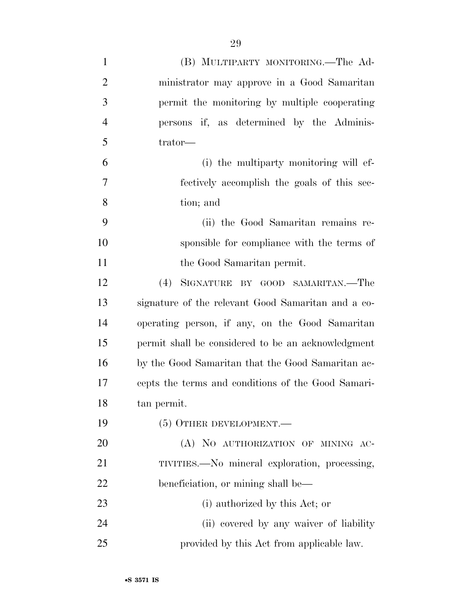| $\mathbf{1}$   | (B) MULTIPARTY MONITORING.—The Ad-                 |
|----------------|----------------------------------------------------|
| $\overline{2}$ | ministrator may approve in a Good Samaritan        |
| 3              | permit the monitoring by multiple cooperating      |
| $\overline{4}$ | persons if, as determined by the Adminis-          |
| 5              | trator-                                            |
| 6              | (i) the multiparty monitoring will ef-             |
| 7              | fectively accomplish the goals of this sec-        |
| 8              | tion; and                                          |
| 9              | (ii) the Good Samaritan remains re-                |
| 10             | sponsible for compliance with the terms of         |
| 11             | the Good Samaritan permit.                         |
| 12             | (4) SIGNATURE BY GOOD SAMARITAN.—The               |
| 13             | signature of the relevant Good Samaritan and a co- |
| 14             | operating person, if any, on the Good Samaritan    |
| 15             | permit shall be considered to be an acknowledgment |
| 16             | by the Good Samaritan that the Good Samaritan ac-  |
| 17             | cepts the terms and conditions of the Good Samari- |
| 18             | tan permit.                                        |
| 19             | $(5)$ OTHER DEVELOPMENT.—                          |
| 20             | (A) NO AUTHORIZATION OF MINING AC-                 |
| 21             | TIVITIES.—No mineral exploration, processing,      |
| 22             | beneficiation, or mining shall be—                 |
| 23             | (i) authorized by this Act; or                     |
| 24             | (ii) covered by any waiver of liability            |
| 25             | provided by this Act from applicable law.          |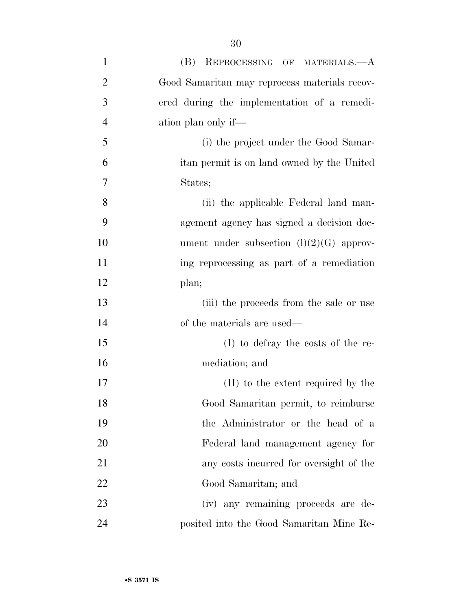| $\mathbf{1}$   | (B) REPROCESSING OF MATERIALS.-- A            |
|----------------|-----------------------------------------------|
| $\overline{2}$ | Good Samaritan may reprocess materials recov- |
| 3              | ered during the implementation of a remedi-   |
| $\overline{4}$ | ation plan only if—                           |
| 5              | (i) the project under the Good Samar-         |
| 6              | itan permit is on land owned by the United    |
| 7              | States;                                       |
| 8              | (ii) the applicable Federal land man-         |
| 9              | agement agency has signed a decision doc-     |
| 10             | ument under subsection $(l)(2)(G)$ approv-    |
| 11             | ing reprocessing as part of a remediation     |
| 12             | plan;                                         |
| 13             | (iii) the proceeds from the sale or use       |
| 14             | of the materials are used—                    |
| 15             | $(I)$ to defray the costs of the re-          |
| 16             | mediation; and                                |
| 17             | (II) to the extent required by the            |
| 18             | Good Samaritan permit, to reimburse           |
| 19             | the Administrator or the head of a            |
| 20             | Federal land management agency for            |
| 21             | any costs incurred for oversight of the       |
| 22             | Good Samaritan; and                           |
| 23             | (iv) any remaining proceeds are de-           |
| 24             | posited into the Good Samaritan Mine Re-      |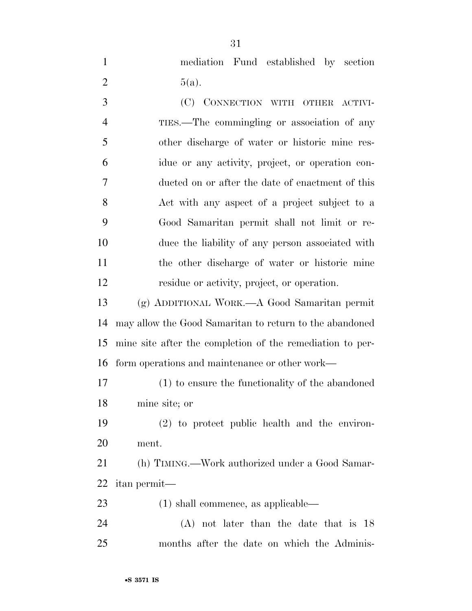mediation Fund established by section 2  $5(a)$ .

 (C) CONNECTION WITH OTHER ACTIVI- TIES.—The commingling or association of any other discharge of water or historic mine res- idue or any activity, project, or operation con- ducted on or after the date of enactment of this Act with any aspect of a project subject to a Good Samaritan permit shall not limit or re- duce the liability of any person associated with the other discharge of water or historic mine residue or activity, project, or operation.

 (g) ADDITIONAL WORK.—A Good Samaritan permit may allow the Good Samaritan to return to the abandoned mine site after the completion of the remediation to per-form operations and maintenance or other work—

 (1) to ensure the functionality of the abandoned mine site; or

 (2) to protect public health and the environ-ment.

 (h) TIMING.—Work authorized under a Good Samar-itan permit—

(1) shall commence, as applicable—

 (A) not later than the date that is 18 months after the date on which the Adminis-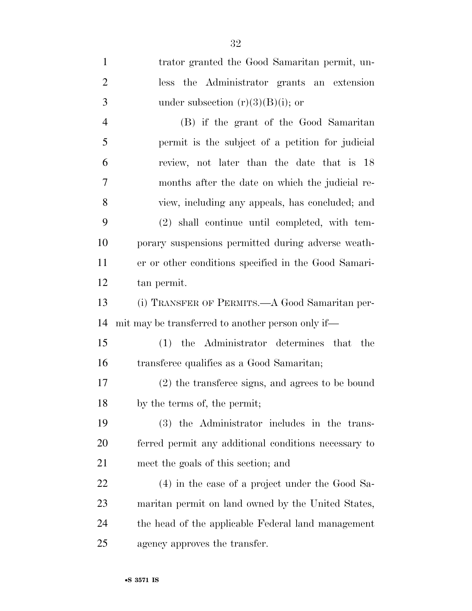trator granted the Good Samaritan permit, un- less the Administrator grants an extension 3 under subsection  $(r)(3)(B)(i)$ ; or (B) if the grant of the Good Samaritan permit is the subject of a petition for judicial review, not later than the date that is 18 months after the date on which the judicial re- view, including any appeals, has concluded; and (2) shall continue until completed, with tem- porary suspensions permitted during adverse weath- er or other conditions specified in the Good Samari- tan permit. (i) TRANSFER OF PERMITS.—A Good Samaritan per- mit may be transferred to another person only if— (1) the Administrator determines that the transferee qualifies as a Good Samaritan; (2) the transferee signs, and agrees to be bound by the terms of, the permit; (3) the Administrator includes in the trans- ferred permit any additional conditions necessary to meet the goals of this section; and (4) in the case of a project under the Good Sa- maritan permit on land owned by the United States, the head of the applicable Federal land management agency approves the transfer.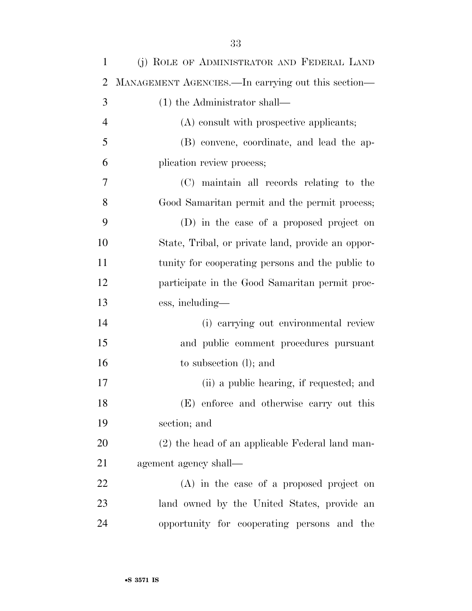| $\mathbf{1}$   | (j) ROLE OF ADMINISTRATOR AND FEDERAL LAND         |
|----------------|----------------------------------------------------|
| $\overline{2}$ | MANAGEMENT AGENCIES. In carrying out this section— |
| 3              | $(1)$ the Administrator shall—                     |
| $\overline{4}$ | (A) consult with prospective applicants;           |
| 5              | (B) convene, coordinate, and lead the ap-          |
| 6              | plication review process;                          |
| 7              | (C) maintain all records relating to the           |
| 8              | Good Samaritan permit and the permit process;      |
| 9              | (D) in the case of a proposed project on           |
| 10             | State, Tribal, or private land, provide an oppor-  |
| 11             | tunity for cooperating persons and the public to   |
| 12             | participate in the Good Samaritan permit proc-     |
| 13             | ess, including—                                    |
| 14             | (i) carrying out environmental review              |
| 15             | and public comment procedures pursuant             |
| 16             | to subsection (1); and                             |
| 17             | (ii) a public hearing, if requested; and           |
| 18             | (E) enforce and otherwise carry out this           |
| 19             | section; and                                       |
| 20             | (2) the head of an applicable Federal land man-    |
| 21             | agement agency shall—                              |
| 22             | (A) in the case of a proposed project on           |
| 23             | land owned by the United States, provide an        |
| 24             | opportunity for cooperating persons and the        |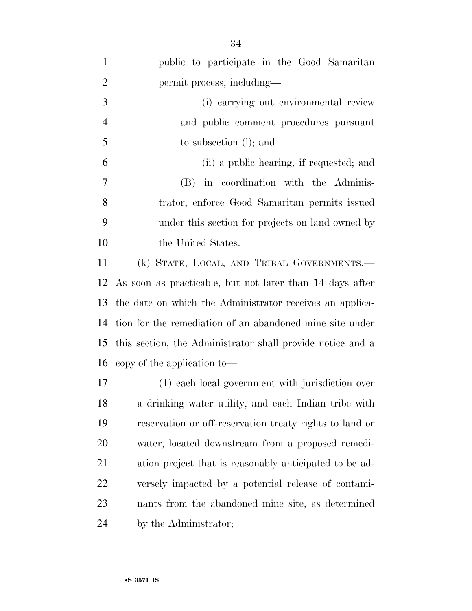| $\mathbf{1}$   | public to participate in the Good Samaritan                 |
|----------------|-------------------------------------------------------------|
| $\overline{2}$ | permit process, including—                                  |
| $\mathfrak{Z}$ | (i) carrying out environmental review                       |
| $\overline{4}$ | and public comment procedures pursuant                      |
| 5              | to subsection (l); and                                      |
| 6              | (ii) a public hearing, if requested; and                    |
| $\overline{7}$ | (B) in coordination with the Adminis-                       |
| 8              | trator, enforce Good Samaritan permits issued               |
| 9              | under this section for projects on land owned by            |
| 10             | the United States.                                          |
| 11             | (k) STATE, LOCAL, AND TRIBAL GOVERNMENTS.-                  |
|                | 12 As soon as practicable, but not later than 14 days after |
|                | 13 the date on which the Administrator receives an applica- |
| 14             | tion for the remediation of an abandoned mine site under    |
| 15             | this section, the Administrator shall provide notice and a  |
|                | 16 copy of the application to-                              |
| 17             | (1) each local government with jurisdiction over            |
| 18             | a drinking water utility, and each Indian tribe with        |
| 19             | reservation or off-reservation treaty rights to land or     |
| 20             | water, located downstream from a proposed remedi-           |
| 21             | ation project that is reasonably anticipated to be ad-      |
| 22             | versely impacted by a potential release of contami-         |
| 23             | nants from the abandoned mine site, as determined           |
| 24             | by the Administrator;                                       |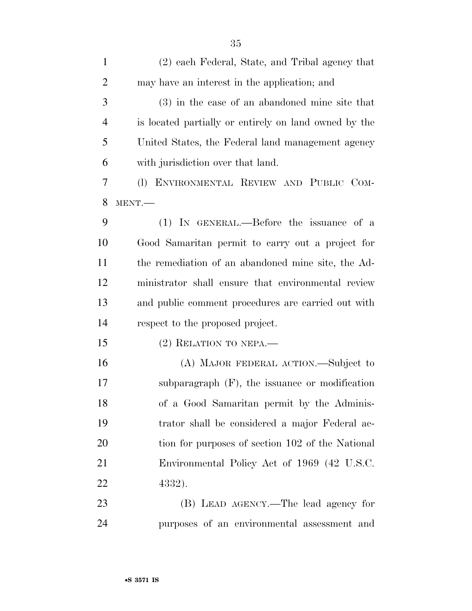| $\mathbf{1}$   | (2) each Federal, State, and Tribal agency that       |
|----------------|-------------------------------------------------------|
| $\overline{2}$ | may have an interest in the application; and          |
| 3              | $(3)$ in the case of an abandoned mine site that      |
| $\overline{4}$ | is located partially or entirely on land owned by the |
| 5              | United States, the Federal land management agency     |
| 6              | with jurisdiction over that land.                     |
| 7              | (I) ENVIRONMENTAL REVIEW AND PUBLIC COM-              |
| 8              | MENT.                                                 |
| 9              | (1) IN GENERAL.—Before the issuance of a              |
| 10             | Good Samaritan permit to carry out a project for      |
| 11             | the remediation of an abandoned mine site, the Ad-    |
| 12             | ministrator shall ensure that environmental review    |
| 13             | and public comment procedures are carried out with    |
| 14             | respect to the proposed project.                      |
| 15             | $(2)$ RELATION TO NEPA.—                              |
| 16             | (A) MAJOR FEDERAL ACTION.—Subject to                  |
| 17             | subparagraph $(F)$ , the issuance or modification     |
| 18             | of a Good Samaritan permit by the Adminis-            |
| 19             | trator shall be considered a major Federal ac-        |
| 20             | tion for purposes of section 102 of the National      |
| 21             | Environmental Policy Act of 1969 (42 U.S.C.           |
| 22             | 4332).                                                |
| 23             | (B) LEAD AGENCY.—The lead agency for                  |
| 24             | purposes of an environmental assessment and           |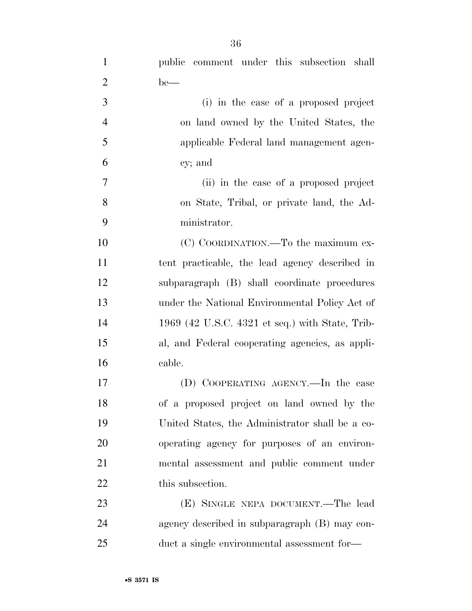| $\mathbf{1}$   | public comment under this subsection shall      |
|----------------|-------------------------------------------------|
| $\overline{2}$ | $be$ —                                          |
| 3              | (i) in the case of a proposed project           |
| $\overline{4}$ | on land owned by the United States, the         |
| 5              | applicable Federal land management agen-        |
| 6              | cy; and                                         |
| $\tau$         | (ii) in the case of a proposed project          |
| 8              | on State, Tribal, or private land, the Ad-      |
| 9              | ministrator.                                    |
| 10             | (C) COORDINATION.—To the maximum ex-            |
| 11             | tent practicable, the lead agency described in  |
| 12             | subparagraph (B) shall coordinate procedures    |
| 13             | under the National Environmental Policy Act of  |
| 14             | 1969 (42 U.S.C. 4321 et seq.) with State, Trib- |
| 15             | al, and Federal cooperating agencies, as appli- |
| 16             | cable.                                          |
| 17             | (D) COOPERATING AGENCY.—In the case             |
| 18             | of a proposed project on land owned by the      |
| 19             | United States, the Administrator shall be a co- |
| 20             | operating agency for purposes of an environ-    |
| 21             | mental assessment and public comment under      |
| 22             | this subsection.                                |
| 23             | (E) SINGLE NEPA DOCUMENT.—The lead              |
| 24             | agency described in subparagraph (B) may con-   |
| 25             | duct a single environmental assessment for-     |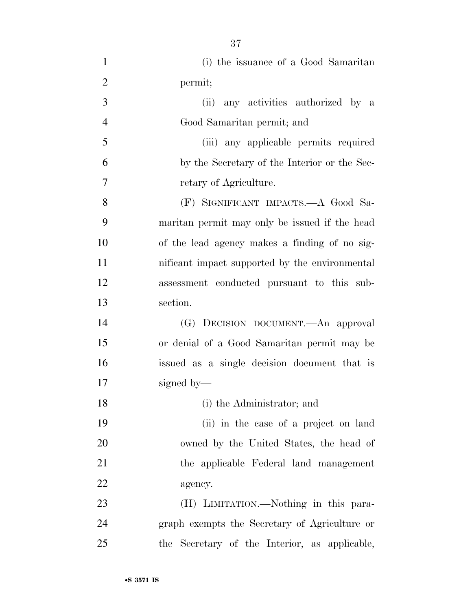| $\mathbf{1}$   | (i) the issuance of a Good Samaritan           |
|----------------|------------------------------------------------|
| $\overline{2}$ | permit;                                        |
| 3              | any activities authorized by a<br>(ii)         |
| $\overline{4}$ | Good Samaritan permit; and                     |
| 5              | (iii) any applicable permits required          |
| 6              | by the Secretary of the Interior or the Sec-   |
| 7              | retary of Agriculture.                         |
| 8              | (F) SIGNIFICANT IMPACTS.—A Good Sa-            |
| 9              | maritan permit may only be issued if the head  |
| 10             | of the lead agency makes a finding of no sig-  |
| 11             | nificant impact supported by the environmental |
| 12             | assessment conducted pursuant to this sub-     |
| 13             | section.                                       |
| 14             | (G) DECISION DOCUMENT.—An approval             |
| 15             | or denial of a Good Samaritan permit may be    |
| 16             | issued as a single decision document that is   |
| 17             | signed by—                                     |
| 18             | (i) the Administrator; and                     |
| 19             | (ii) in the case of a project on land          |
| 20             | owned by the United States, the head of        |
| 21             | the applicable Federal land management         |
| 22             | agency.                                        |
| 23             | (H) LIMITATION.—Nothing in this para-          |
| 24             | graph exempts the Secretary of Agriculture or  |
| 25             | the Secretary of the Interior, as applicable,  |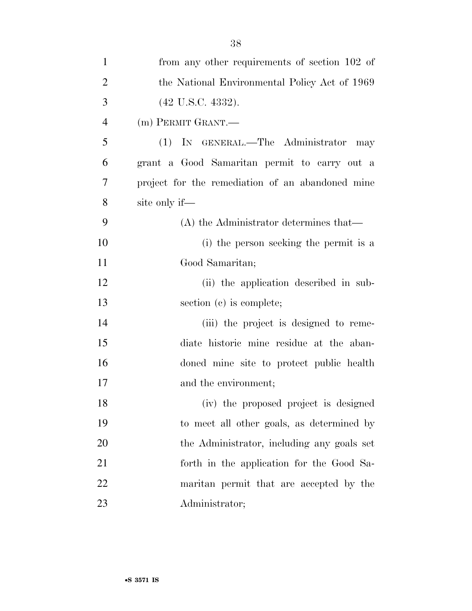| $\mathbf{1}$   | from any other requirements of section 102 of    |
|----------------|--------------------------------------------------|
| $\overline{2}$ | the National Environmental Policy Act of 1969    |
| 3              | $(42 \text{ U.S.C. } 4332).$                     |
| $\overline{4}$ | (m) PERMIT GRANT.—                               |
| 5              | (1) IN GENERAL.—The Administrator may            |
| 6              | grant a Good Samaritan permit to carry out a     |
| 7              | project for the remediation of an abandoned mine |
| 8              | site only if—                                    |
| 9              | $(A)$ the Administrator determines that—         |
| 10             | (i) the person seeking the permit is a           |
| 11             | Good Samaritan;                                  |
| 12             | (ii) the application described in sub-           |
| 13             | section (c) is complete;                         |
| 14             | (iii) the project is designed to reme-           |
| 15             | diate historic mine residue at the aban-         |
| 16             | doned mine site to protect public health         |
| 17             | and the environment;                             |
| 18             | (iv) the proposed project is designed            |
| 19             | to meet all other goals, as determined by        |
| 20             | the Administrator, including any goals set       |
| 21             | forth in the application for the Good Sa-        |
| 22             | maritan permit that are accepted by the          |
| 23             | Administrator;                                   |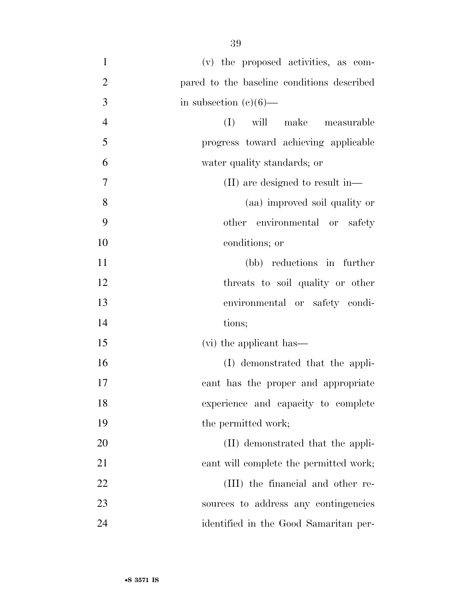| $\mathbf{1}$   | (v) the proposed activities, as com-       |
|----------------|--------------------------------------------|
| $\overline{2}$ | pared to the baseline conditions described |
| 3              | in subsection $(e)(6)$ —                   |
| $\overline{4}$ | (I)<br>will make measurable                |
| 5              | progress toward achieving applicable       |
| 6              | water quality standards; or                |
| 7              | (II) are designed to result in—            |
| 8              | (aa) improved soil quality or              |
| 9              | other environmental or safety              |
| 10             | conditions; or                             |
| 11             | (bb) reductions in further                 |
| 12             | threats to soil quality or other           |
| 13             | environmental or safety condi-             |
| 14             | tions;                                     |
| 15             | (vi) the applicant has—                    |
| 16             | (I) demonstrated that the appli-           |
| 17             | cant has the proper and appropriate        |
| 18             | experience and capacity to complete        |
| 19             | the permitted work;                        |
| 20             | (II) demonstrated that the appli-          |
| 21             | cant will complete the permitted work;     |
| 22             | (III) the financial and other re-          |
| 23             | sources to address any contingencies       |
| 24             | identified in the Good Samaritan per-      |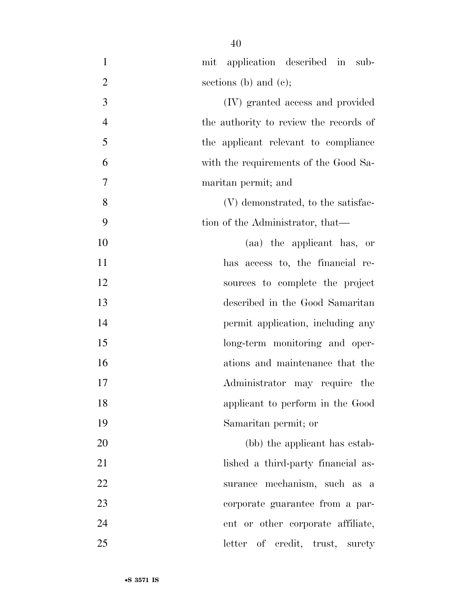| $\mathbf{1}$   | mit application described in sub-      |
|----------------|----------------------------------------|
| $\overline{2}$ | sections (b) and (c);                  |
| 3              | (IV) granted access and provided       |
| $\overline{4}$ | the authority to review the records of |
| 5              | the applicant relevant to compliance   |
| 6              | with the requirements of the Good Sa-  |
| 7              | maritan permit; and                    |
| 8              | (V) demonstrated, to the satisfac-     |
| 9              | tion of the Administrator, that—       |
| 10             | (aa) the applicant has, or             |
| 11             | has access to, the financial re-       |
| 12             | sources to complete the project        |
| 13             | described in the Good Samaritan        |
| 14             | permit application, including any      |
| 15             | long-term monitoring and oper-         |
| 16             | ations and maintenance that the        |
| 17             | Administrator may require<br>the       |
| 18             | applicant to perform in the Good       |
| 19             | Samaritan permit; or                   |
| 20             | (bb) the applicant has estab-          |
| 21             | lished a third-party financial as-     |
| 22             | surance mechanism, such as a           |
| 23             | corporate guarantee from a par-        |
| 24             | ent or other corporate affiliate,      |
| 25             | letter of credit, trust,<br>surety     |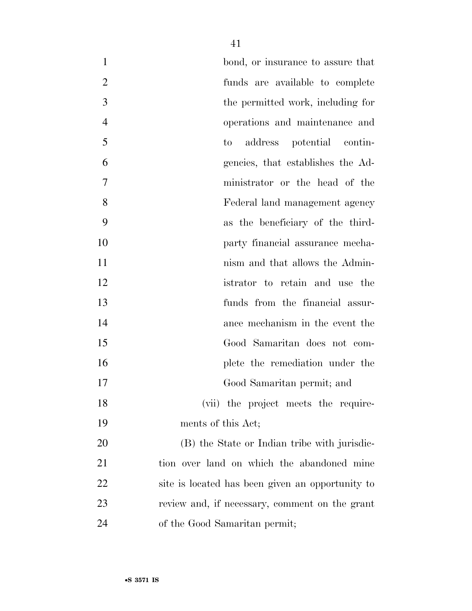| $\mathbf{1}$   | bond, or insurance to assure that                |
|----------------|--------------------------------------------------|
| $\overline{2}$ | funds are available to complete                  |
| 3              | the permitted work, including for                |
| $\overline{4}$ | operations and maintenance and                   |
| 5              | address potential contin-<br>to                  |
| 6              | gencies, that establishes the Ad-                |
| $\overline{7}$ | ministrator or the head of the                   |
| 8              | Federal land management agency                   |
| 9              | as the beneficiary of the third-                 |
| 10             | party financial assurance mecha-                 |
| 11             | nism and that allows the Admin-                  |
| 12             | istrator to retain and use the                   |
| 13             | funds from the financial assur-                  |
| 14             | ance mechanism in the event the                  |
| 15             | Good Samaritan does not com-                     |
| 16             | plete the remediation under the                  |
| 17             | Good Samaritan permit; and                       |
| 18             | (vii) the project meets the require-             |
| 19             | ments of this Act;                               |
| 20             | (B) the State or Indian tribe with jurisdic-     |
| 21             | tion over land on which the abandoned mine       |
| 22             | site is located has been given an opportunity to |
| 23             | review and, if necessary, comment on the grant   |
| 24             | of the Good Samaritan permit;                    |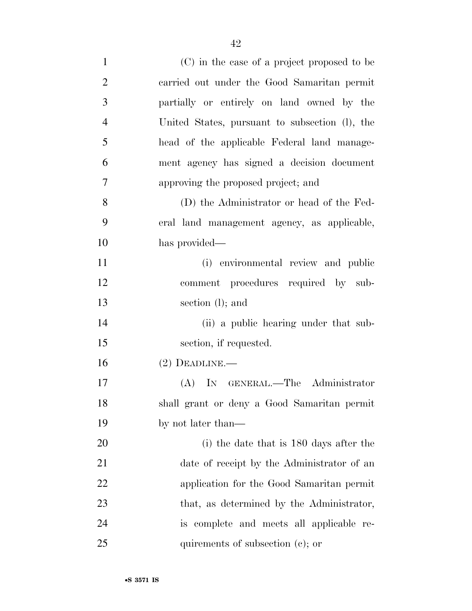| $\mathbf{1}$   | (C) in the case of a project proposed to be    |
|----------------|------------------------------------------------|
| $\overline{2}$ | carried out under the Good Samaritan permit    |
| 3              | partially or entirely on land owned by the     |
| $\overline{4}$ | United States, pursuant to subsection (I), the |
| 5              | head of the applicable Federal land manage-    |
| 6              | ment agency has signed a decision document     |
| 7              | approving the proposed project; and            |
| 8              | (D) the Administrator or head of the Fed-      |
| 9              | eral land management agency, as applicable,    |
| 10             | has provided—                                  |
| 11             | (i) environmental review and public            |
| 12             | comment procedures required by sub-            |
| 13             | section (l); and                               |
| 14             | (ii) a public hearing under that sub-          |
| 15             | section, if requested.                         |
| 16             | $(2)$ DEADLINE.—                               |
| 17             | (A) IN GENERAL.—The Administrator              |
| 18             | shall grant or deny a Good Samaritan permit    |
| 19             | by not later than—                             |
| 20             | (i) the date that is 180 days after the        |
| 21             | date of receipt by the Administrator of an     |
| 22             | application for the Good Samaritan permit      |
| 23             | that, as determined by the Administrator,      |
| 24             | is complete and meets all applicable re-       |
| 25             | quirements of subsection $(c)$ ; or            |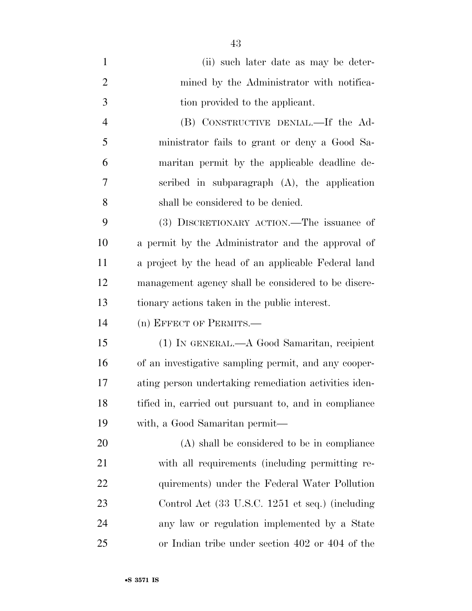| $\mathbf{1}$   | (ii) such later date as may be deter-                 |
|----------------|-------------------------------------------------------|
| $\overline{2}$ | mined by the Administrator with notifica-             |
| 3              | tion provided to the applicant.                       |
| $\overline{4}$ | (B) CONSTRUCTIVE DENIAL.—If the Ad-                   |
| 5              | ministrator fails to grant or deny a Good Sa-         |
| 6              | maritan permit by the applicable deadline de-         |
| 7              | scribed in subparagraph $(A)$ , the application       |
| 8              | shall be considered to be denied.                     |
| 9              | (3) DISCRETIONARY ACTION.—The issuance of             |
| 10             | a permit by the Administrator and the approval of     |
| 11             | a project by the head of an applicable Federal land   |
| 12             | management agency shall be considered to be discre-   |
| 13             | tionary actions taken in the public interest.         |
| 14             | (n) EFFECT OF PERMITS.-                               |
| 15             | (1) IN GENERAL.—A Good Samaritan, recipient           |
| 16             | of an investigative sampling permit, and any cooper-  |
| 17             | ating person undertaking remediation activities iden- |
| 18             | tified in, carried out pursuant to, and in compliance |
| 19             | with, a Good Samaritan permit—                        |
| 20             | (A) shall be considered to be in compliance           |
| 21             | with all requirements (including permitting re-       |
| 22             | quirements) under the Federal Water Pollution         |
| 23             | Control Act (33 U.S.C. 1251 et seq.) (including       |
| 24             | any law or regulation implemented by a State          |
| 25             | or Indian tribe under section 402 or 404 of the       |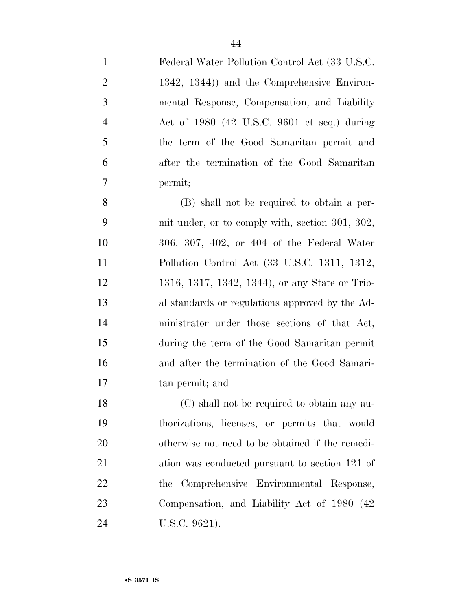Federal Water Pollution Control Act (33 U.S.C. 1342, 1344)) and the Comprehensive Environ- mental Response, Compensation, and Liability Act of 1980 (42 U.S.C. 9601 et seq.) during the term of the Good Samaritan permit and after the termination of the Good Samaritan permit; (B) shall not be required to obtain a per- mit under, or to comply with, section 301, 302, 306, 307, 402, or 404 of the Federal Water Pollution Control Act (33 U.S.C. 1311, 1312, 1316, 1317, 1342, 1344), or any State or Trib- al standards or regulations approved by the Ad-ministrator under those sections of that Act,

 during the term of the Good Samaritan permit and after the termination of the Good Samari-tan permit; and

 (C) shall not be required to obtain any au- thorizations, licenses, or permits that would otherwise not need to be obtained if the remedi- ation was conducted pursuant to section 121 of the Comprehensive Environmental Response, Compensation, and Liability Act of 1980 (42 U.S.C. 9621).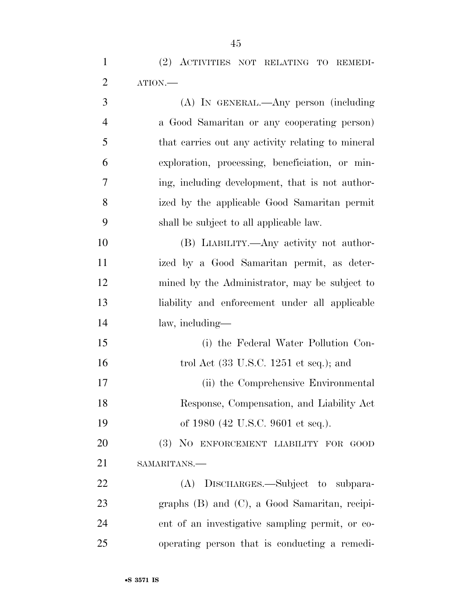(2) ACTIVITIES NOT RELATING TO REMEDI-ATION.—

| 3              | (A) IN GENERAL.—Any person (including                     |
|----------------|-----------------------------------------------------------|
| $\overline{4}$ | a Good Samaritan or any cooperating person)               |
| 5              | that carries out any activity relating to mineral         |
| 6              | exploration, processing, beneficiation, or min-           |
| 7              | ing, including development, that is not author-           |
| 8              | ized by the applicable Good Samaritan permit              |
| 9              | shall be subject to all applicable law.                   |
| 10             | (B) LIABILITY.—Any activity not author-                   |
| 11             | ized by a Good Samaritan permit, as deter-                |
| 12             | mined by the Administrator, may be subject to             |
| 13             | liability and enforcement under all applicable            |
| 14             | law, including—                                           |
| 15             | (i) the Federal Water Pollution Con-                      |
| 16             | trol Act $(33 \text{ U.S.C. } 1251 \text{ et seq.});$ and |
| 17             | (ii) the Comprehensive Environmental                      |
| 18             | Response, Compensation, and Liability Act                 |
| 19             | of 1980 (42 U.S.C. 9601 et seq.).                         |
| 20             | (3) NO ENFORCEMENT LIABILITY FOR GOOD                     |
| 21             | SAMARITANS.                                               |
| 22             | (A) DISCHARGES.—Subject to subpara-                       |
| 23             | graphs $(B)$ and $(C)$ , a Good Samaritan, recipi-        |
| 24             | ent of an investigative sampling permit, or co-           |
| 25             | operating person that is conducting a remedi-             |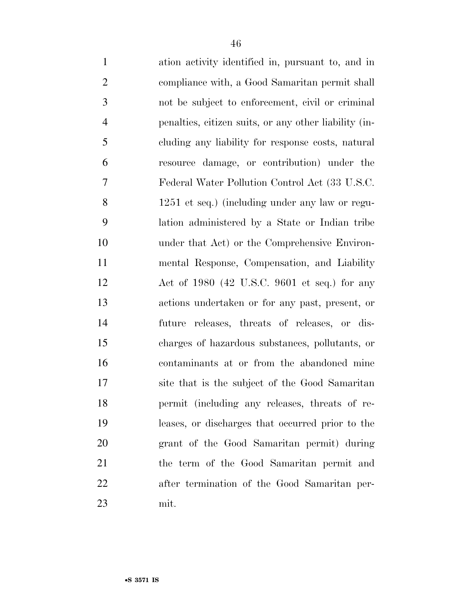| $\mathbf{1}$   | ation activity identified in, pursuant to, and in     |
|----------------|-------------------------------------------------------|
| $\overline{2}$ | compliance with, a Good Samaritan permit shall        |
| 3              | not be subject to enforcement, civil or criminal      |
| 4              | penalties, citizen suits, or any other liability (in- |
| 5              | cluding any liability for response costs, natural     |
| 6              | resource damage, or contribution) under the           |
| 7              | Federal Water Pollution Control Act (33 U.S.C.        |
| 8              | 1251 et seq.) (including under any law or regu-       |
| 9              | lation administered by a State or Indian tribe        |
| 10             | under that Act) or the Comprehensive Environ-         |
| 11             | mental Response, Compensation, and Liability          |
| 12             | Act of $1980$ (42 U.S.C. 9601 et seq.) for any        |
| 13             | actions undertaken or for any past, present, or       |
| 14             | future releases, threats of releases, or dis-         |
| 15             | charges of hazardous substances, pollutants, or       |
| 16             | contaminants at or from the abandoned mine            |
| 17             | site that is the subject of the Good Samaritan        |
| 18             | permit (including any releases, threats of re-        |
| 19             | leases, or discharges that occurred prior to the      |
| 20             | grant of the Good Samaritan permit) during            |
| 21             | the term of the Good Samaritan permit and             |
| 22             | after termination of the Good Samaritan per-          |
| 23             | mit.                                                  |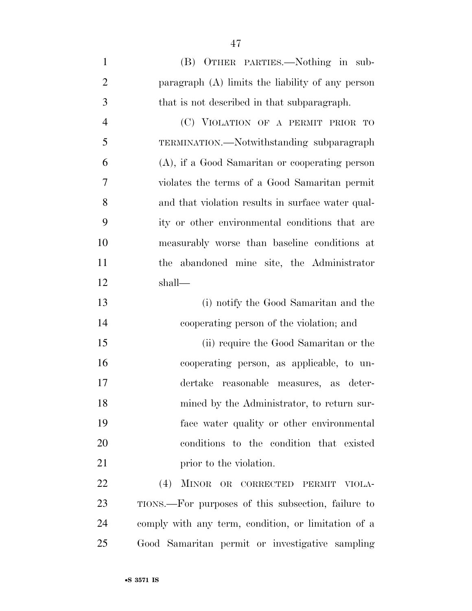| $\mathbf{1}$   | (B) OTHER PARTIES.—Nothing in sub-                  |
|----------------|-----------------------------------------------------|
| $\overline{2}$ | paragraph (A) limits the liability of any person    |
| 3              | that is not described in that subparagraph.         |
| $\overline{4}$ | (C) VIOLATION OF A PERMIT PRIOR TO                  |
| 5              | TERMINATION.—Notwithstanding subparagraph           |
| 6              | (A), if a Good Samaritan or cooperating person      |
| 7              | violates the terms of a Good Samaritan permit       |
| 8              | and that violation results in surface water qual-   |
| 9              | ity or other environmental conditions that are      |
| 10             | measurably worse than baseline conditions at        |
| 11             | the abandoned mine site, the Administrator          |
| 12             | shall—                                              |
| 13             | (i) notify the Good Samaritan and the               |
| 14             | cooperating person of the violation; and            |
| 15             | (ii) require the Good Samaritan or the              |
| 16             | cooperating person, as applicable, to un-           |
| 17             | dertake reasonable measures, as deter-              |
| 18             | mined by the Administrator, to return sur-          |
| 19             | face water quality or other environmental           |
| 20             | conditions to the condition that existed            |
| 21             | prior to the violation.                             |
| 22             | (4)<br>MINOR OR CORRECTED PERMIT<br>VIOLA-          |
| 23             | TIONS.—For purposes of this subsection, failure to  |
| 24             | comply with any term, condition, or limitation of a |
| 25             | Good Samaritan permit or investigative sampling     |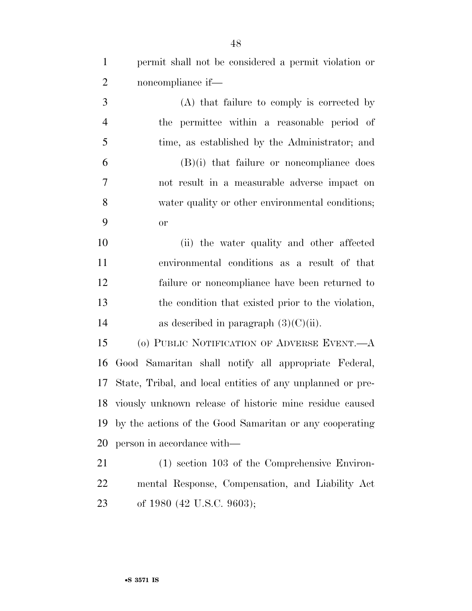| $\mathbf{1}$   | permit shall not be considered a permit violation or       |
|----------------|------------------------------------------------------------|
| $\overline{2}$ | noncompliance if—                                          |
| 3              | (A) that failure to comply is corrected by                 |
| $\overline{4}$ | the permittee within a reasonable period of                |
| 5              | time, as established by the Administrator; and             |
| 6              | $(B)(i)$ that failure or noncompliance does                |
| 7              | not result in a measurable adverse impact on               |
| 8              | water quality or other environmental conditions;           |
| 9              | <b>or</b>                                                  |
| 10             | (ii) the water quality and other affected                  |
| 11             | environmental conditions as a result of that               |
| 12             | failure or noncompliance have been returned to             |
| 13             | the condition that existed prior to the violation,         |
| 14             | as described in paragraph $(3)(C)(ii)$ .                   |
| 15             | (o) PUBLIC NOTIFICATION OF ADVERSE EVENT.—A                |
| 16             | Good Samaritan shall notify all appropriate Federal,       |
| 17             | State, Tribal, and local entities of any unplanned or pre- |
| 18             | viously unknown release of historic mine residue caused    |
| 19             | by the actions of the Good Samaritan or any cooperating    |
| 20             | person in accordance with—                                 |
| 21             | $(1)$ section 103 of the Comprehensive Environ-            |
| 22             | mental Response, Compensation, and Liability Act           |

of 1980 (42 U.S.C. 9603);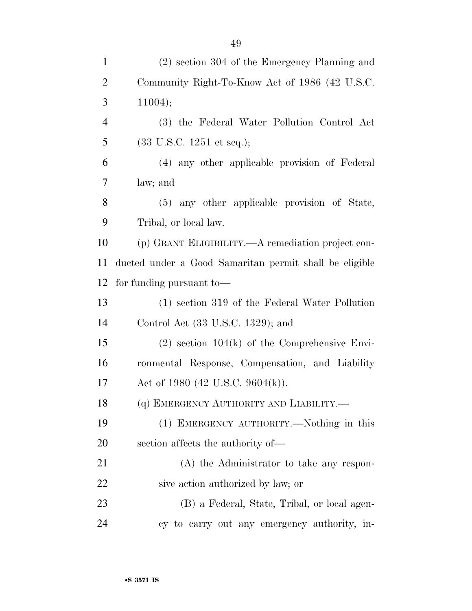| $\mathbf{1}$   | (2) section 304 of the Emergency Planning and          |  |
|----------------|--------------------------------------------------------|--|
| $\overline{2}$ | Community Right-To-Know Act of 1986 (42 U.S.C.         |  |
| 3              | 11004);                                                |  |
| $\overline{4}$ | (3) the Federal Water Pollution Control Act            |  |
| 5              | $(33 \text{ U.S.C. } 1251 \text{ et seq.});$           |  |
| 6              | (4) any other applicable provision of Federal          |  |
| 7              | law; and                                               |  |
| 8              | (5) any other applicable provision of State,           |  |
| 9              | Tribal, or local law.                                  |  |
| 10             | (p) GRANT ELIGIBILITY.—A remediation project con-      |  |
| 11             | ducted under a Good Samaritan permit shall be eligible |  |
| 12             | for funding pursuant to-                               |  |
| 13             | (1) section 319 of the Federal Water Pollution         |  |
| 14             | Control Act (33 U.S.C. 1329); and                      |  |
| 15             | $(2)$ section 104 $(k)$ of the Comprehensive Envi-     |  |
| 16             | ronmental Response, Compensation, and Liability        |  |
| 17             | Act of 1980 (42 U.S.C. 9604(k)).                       |  |
| 18             | (q) EMERGENCY AUTHORITY AND LIABILITY.                 |  |
| 19             | (1) EMERGENCY AUTHORITY.—Nothing in this               |  |
| 20             | section affects the authority of—                      |  |
| 21             | (A) the Administrator to take any respon-              |  |
| 22             | sive action authorized by law; or                      |  |
| 23             | (B) a Federal, State, Tribal, or local agen-           |  |
| 24             | cy to carry out any emergency authority, in-           |  |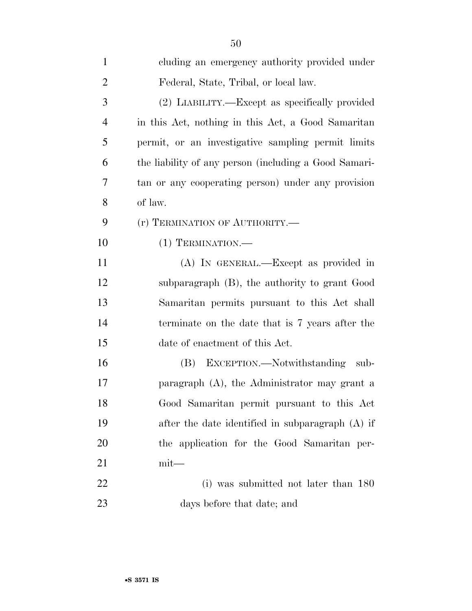| $\mathbf{1}$   | cluding an emergency authority provided under         |
|----------------|-------------------------------------------------------|
| $\overline{2}$ | Federal, State, Tribal, or local law.                 |
| 3              | (2) LIABILITY.—Except as specifically provided        |
| $\overline{4}$ | in this Act, nothing in this Act, a Good Samaritan    |
| 5              | permit, or an investigative sampling permit limits    |
| 6              | the liability of any person (including a Good Samari- |
| 7              | tan or any cooperating person) under any provision    |
| 8              | of law.                                               |
| 9              | (r) TERMINATION OF AUTHORITY.-                        |
| 10             | $(1)$ TERMINATION.—                                   |
| 11             | (A) IN GENERAL.—Except as provided in                 |
| 12             | subparagraph (B), the authority to grant Good         |
| 13             | Samaritan permits pursuant to this Act shall          |
| 14             | terminate on the date that is 7 years after the       |
| 15             | date of enactment of this Act.                        |
| 16             | (B) EXCEPTION.—Notwithstanding sub-                   |
| 17             | paragraph (A), the Administrator may grant a          |
| 18             | Good Samaritan permit pursuant to this Act            |
| 19             | after the date identified in subparagraph (A) if      |
| 20             | the application for the Good Samaritan per-           |
| 21             | $mit$ —                                               |
| 22             | (i) was submitted not later than 180                  |
| 23             | days before that date; and                            |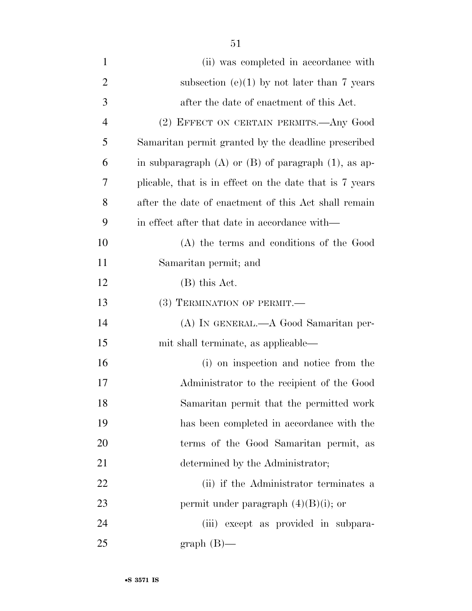| $\mathbf{1}$ | (ii) was completed in accordance with                      |
|--------------|------------------------------------------------------------|
| 2            | subsection $(e)(1)$ by not later than 7 years              |
| 3            | after the date of enactment of this Act.                   |
| 4            | (2) EFFECT ON CERTAIN PERMITS.—Any Good                    |
| 5            | Samaritan permit granted by the deadline prescribed        |
| 6            | in subparagraph $(A)$ or $(B)$ of paragraph $(1)$ , as ap- |
| 7            | plicable, that is in effect on the date that is 7 years    |
| 8            | after the date of enactment of this Act shall remain       |
| 9            | in effect after that date in accordance with—              |
| 10           | (A) the terms and conditions of the Good                   |
| 11           | Samaritan permit; and                                      |
| 12           | $(B)$ this Act.                                            |
| 13           | (3) TERMINATION OF PERMIT.-                                |
| 14           | (A) IN GENERAL.—A Good Samaritan per-                      |
| 15           | mit shall terminate, as applicable—                        |
| 16           | (i) on inspection and notice from the                      |
| 17           | Administrator to the recipient of the Good                 |
| 18           | Samaritan permit that the permitted work                   |
| 19           | has been completed in accordance with the                  |
| 20           | terms of the Good Samaritan permit, as                     |
| 21           | determined by the Administrator;                           |
| 22           | (ii) if the Administrator terminates a                     |
| 23           | permit under paragraph $(4)(B)(i)$ ; or                    |
| 24           | (iii) except as provided in subpara-                       |
| 25           | $graph(B)$ —                                               |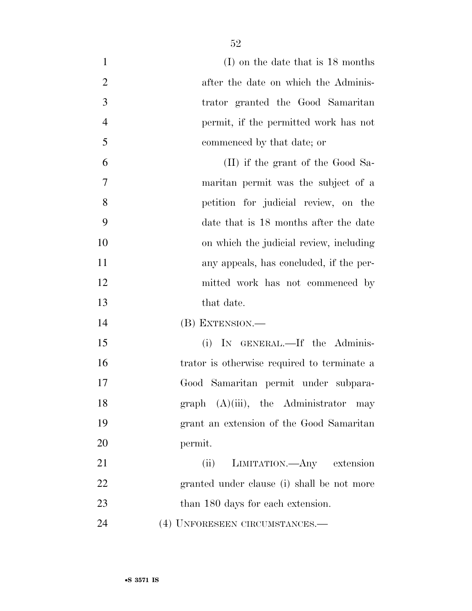| $\mathbf{1}$   | $(I)$ on the date that is 18 months         |
|----------------|---------------------------------------------|
| $\overline{2}$ | after the date on which the Adminis-        |
| 3              | trator granted the Good Samaritan           |
| $\overline{4}$ | permit, if the permitted work has not       |
| 5              | commenced by that date; or                  |
| 6              | (II) if the grant of the Good Sa-           |
| 7              | maritan permit was the subject of a         |
| 8              | petition for judicial review, on the        |
| 9              | date that is 18 months after the date       |
| 10             | on which the judicial review, including     |
| 11             | any appeals, has concluded, if the per-     |
| 12             | mitted work has not commenced by            |
| 13             | that date.                                  |
| 14             | (B) EXTENSION.—                             |
| 15             | IN GENERAL.—If the Adminis-<br>(i)          |
| 16             | trator is otherwise required to terminate a |
| 17             | Good Samaritan permit under subpara-        |
| 18             | graph $(A)(iii)$ , the Administrator may    |
| 19             | grant an extension of the Good Samaritan    |
| 20             | permit.                                     |
| 21             | (ii) LIMITATION.—Any extension              |
| 22             | granted under clause (i) shall be not more  |
| 23             | than 180 days for each extension.           |
| 24             | (4) UNFORESEEN CIRCUMSTANCES.-              |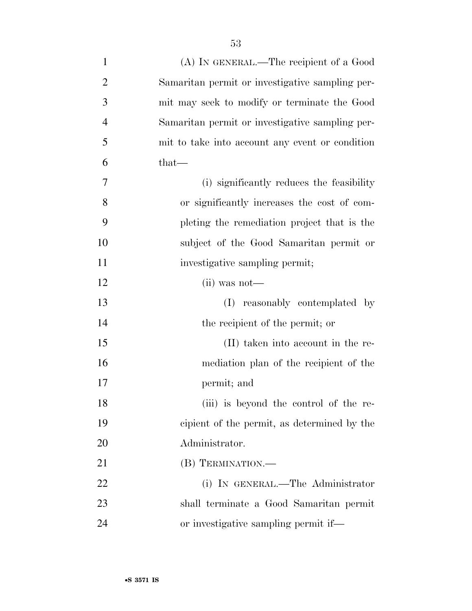| $\mathbf{1}$   | (A) IN GENERAL.—The recipient of a Good         |
|----------------|-------------------------------------------------|
| $\overline{2}$ | Samaritan permit or investigative sampling per- |
| 3              | mit may seek to modify or terminate the Good    |
| 4              | Samaritan permit or investigative sampling per- |
| 5              | mit to take into account any event or condition |
| 6              | that—                                           |
| 7              | (i) significantly reduces the feasibility       |
| 8              | or significantly increases the cost of com-     |
| 9              | pleting the remediation project that is the     |
| 10             | subject of the Good Samaritan permit or         |
| 11             | investigative sampling permit;                  |
| 12             | $(ii)$ was not—                                 |
| 13             | reasonably contemplated by<br>(I)               |
| 14             | the recipient of the permit; or                 |
| 15             | (II) taken into account in the re-              |
| 16             | mediation plan of the recipient of the          |
| 17             | permit; and                                     |
| 18             | (iii) is beyond the control of the re-          |
| 19             | cipient of the permit, as determined by the     |
| 20             | Administrator.                                  |
| 21             | (B) TERMINATION.—                               |
| 22             | (i) IN GENERAL.—The Administrator               |
| 23             | shall terminate a Good Samaritan permit         |
| 24             | or investigative sampling permit if—            |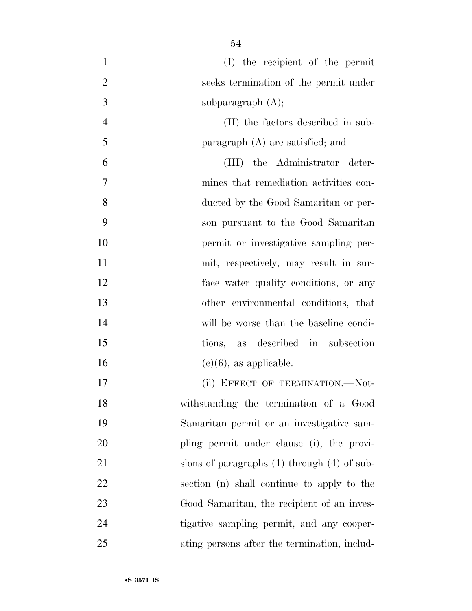| $\mathbf{1}$   | (I) the recipient of the permit                 |
|----------------|-------------------------------------------------|
| $\overline{2}$ | seeks termination of the permit under           |
| 3              | subparagraph $(A)$ ;                            |
| $\overline{4}$ | (II) the factors described in sub-              |
| 5              | paragraph $(A)$ are satisfied; and              |
| 6              | (III) the Administrator deter-                  |
| 7              | mines that remediation activities con-          |
| 8              | ducted by the Good Samaritan or per-            |
| 9              | son pursuant to the Good Samaritan              |
| 10             | permit or investigative sampling per-           |
| 11             | mit, respectively, may result in sur-           |
| 12             | face water quality conditions, or any           |
| 13             | other environmental conditions, that            |
| 14             | will be worse than the baseline condi-          |
| 15             | tions, as described in subsection               |
| 16             | $(e)(6)$ , as applicable.                       |
| 17             | (ii) EFFECT OF TERMINATION.-Not-                |
| 18             | withstanding the termination of a Good          |
| 19             | Samaritan permit or an investigative sam-       |
| 20             | pling permit under clause (i), the provi-       |
| 21             | sions of paragraphs $(1)$ through $(4)$ of sub- |
| 22             | section (n) shall continue to apply to the      |
| 23             | Good Samaritan, the recipient of an inves-      |
| 24             | tigative sampling permit, and any cooper-       |
| 25             | ating persons after the termination, includ-    |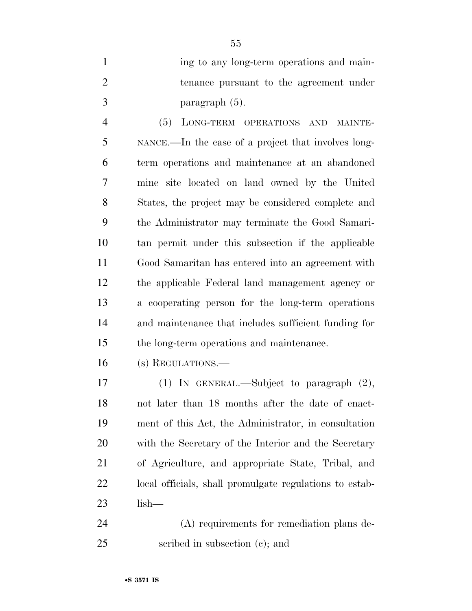| ing to any long-term operations and main- |
|-------------------------------------------|
| tenance pursuant to the agreement under   |
| paragraph $(5)$ .                         |

 (5) LONG-TERM OPERATIONS AND MAINTE- NANCE.—In the case of a project that involves long- term operations and maintenance at an abandoned mine site located on land owned by the United States, the project may be considered complete and the Administrator may terminate the Good Samari- tan permit under this subsection if the applicable Good Samaritan has entered into an agreement with the applicable Federal land management agency or a cooperating person for the long-term operations and maintenance that includes sufficient funding for the long-term operations and maintenance.

(s) REGULATIONS.—

 (1) IN GENERAL.—Subject to paragraph (2), not later than 18 months after the date of enact- ment of this Act, the Administrator, in consultation with the Secretary of the Interior and the Secretary of Agriculture, and appropriate State, Tribal, and local officials, shall promulgate regulations to estab-lish—

 (A) requirements for remediation plans de-scribed in subsection (c); and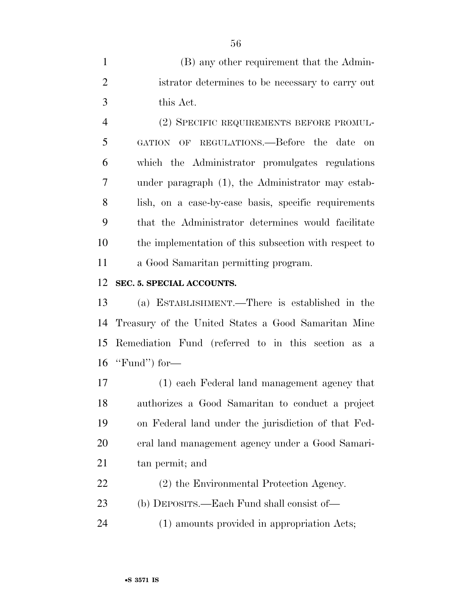(B) any other requirement that the Admin- istrator determines to be necessary to carry out this Act.

 (2) SPECIFIC REQUIREMENTS BEFORE PROMUL- GATION OF REGULATIONS.—Before the date on which the Administrator promulgates regulations under paragraph (1), the Administrator may estab- lish, on a case-by-case basis, specific requirements that the Administrator determines would facilitate the implementation of this subsection with respect to a Good Samaritan permitting program.

#### **SEC. 5. SPECIAL ACCOUNTS.**

 (a) ESTABLISHMENT.—There is established in the Treasury of the United States a Good Samaritan Mine Remediation Fund (referred to in this section as a ''Fund'') for—

 (1) each Federal land management agency that authorizes a Good Samaritan to conduct a project on Federal land under the jurisdiction of that Fed- eral land management agency under a Good Samari-tan permit; and

(2) the Environmental Protection Agency.

(b) DEPOSITS.—Each Fund shall consist of—

(1) amounts provided in appropriation Acts;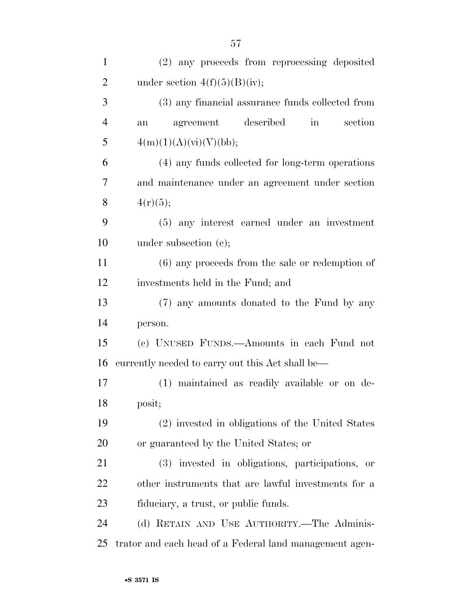| $\mathbf{1}$   | (2) any proceeds from reprocessing deposited                |
|----------------|-------------------------------------------------------------|
| $\overline{2}$ | under section $4(f)(5)(B)(iv);$                             |
| 3              | (3) any financial assurance funds collected from            |
| $\overline{4}$ | agreement described<br>section<br>$\operatorname{in}$<br>an |
| 5              | 4(m)(1)(A)(vi)(V)(bb);                                      |
| 6              | (4) any funds collected for long-term operations            |
| 7              | and maintenance under an agreement under section            |
| 8              | 4(r)(5);                                                    |
| 9              | (5) any interest earned under an investment                 |
| 10             | under subsection $(e)$ ;                                    |
| 11             | $(6)$ any proceeds from the sale or redemption of           |
| 12             | investments held in the Fund; and                           |
| 13             | (7) any amounts donated to the Fund by any                  |
| 14             | person.                                                     |
| 15             | (c) UNUSED FUNDS.—Amounts in each Fund not                  |
| 16             | currently needed to carry out this Act shall be—            |
| 17             | (1) maintained as readily available or on de-               |
| 18             | posit;                                                      |
| 19             | (2) invested in obligations of the United States            |
| 20             | or guaranteed by the United States; or                      |
| 21             | (3) invested in obligations, participations, or             |
| 22             | other instruments that are lawful investments for a         |
| 23             | fiduciary, a trust, or public funds.                        |
| 24             | (d) RETAIN AND USE AUTHORITY.—The Adminis-                  |
| 25             | trator and each head of a Federal land management agen-     |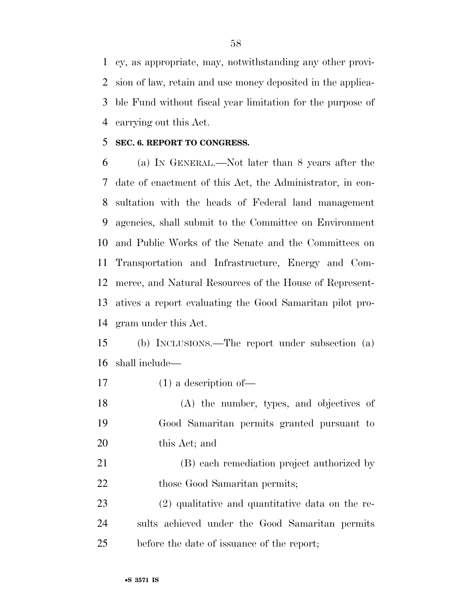cy, as appropriate, may, notwithstanding any other provi- sion of law, retain and use money deposited in the applica- ble Fund without fiscal year limitation for the purpose of carrying out this Act.

#### **SEC. 6. REPORT TO CONGRESS.**

 (a) IN GENERAL.—Not later than 8 years after the date of enactment of this Act, the Administrator, in con- sultation with the heads of Federal land management agencies, shall submit to the Committee on Environment and Public Works of the Senate and the Committees on Transportation and Infrastructure, Energy and Com- merce, and Natural Resources of the House of Represent- atives a report evaluating the Good Samaritan pilot pro-gram under this Act.

 (b) INCLUSIONS.—The report under subsection (a) shall include—

(1) a description of—

 (A) the number, types, and objectives of Good Samaritan permits granted pursuant to this Act; and

 (B) each remediation project authorized by 22 those Good Samaritan permits;

 (2) qualitative and quantitative data on the re- sults achieved under the Good Samaritan permits before the date of issuance of the report;